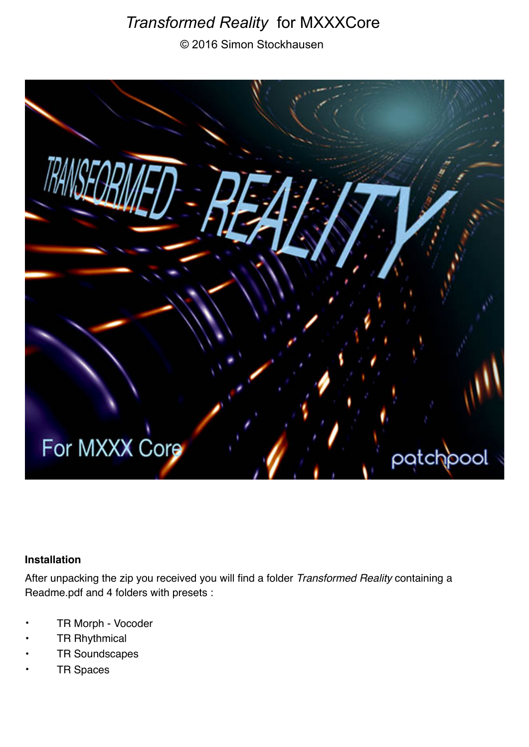# *Transformed Reality* for MXXXCore

© 2016 Simon Stockhausen



### **Installation**

After unpacking the zip you received you will find a folder *Transformed Reality* containing a Readme.pdf and 4 folders with presets :

- TR Morph Vocoder
- **TR Rhythmical**
- TR Soundscapes
- **TR Spaces**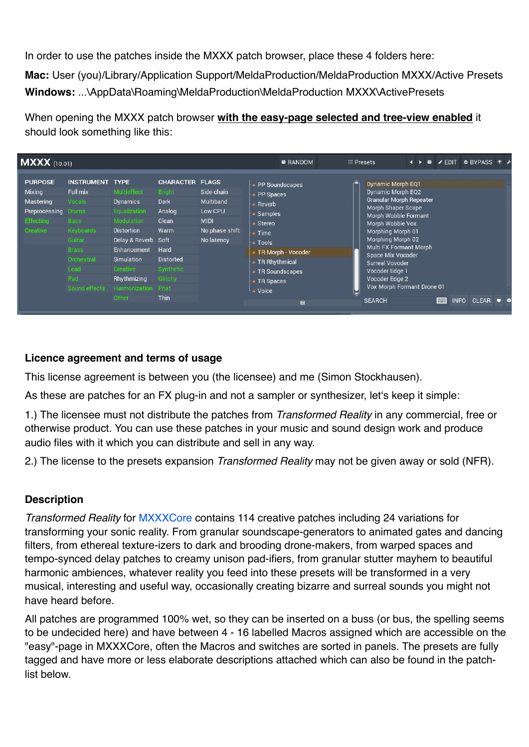In order to use the patches inside the MXXX patch browser, place these 4 folders here:

**Mac:** User (you)/Library/Application Support/MeldaProduction/MeldaProduction MXXX/Active Presets **Windows:** ...\AppData\Roaming\MeldaProduction\MeldaProduction MXXX\ActivePresets

When opening the MXXX patch browser **with the easy-page selected and tree-view enabled** it should look something like this:

| <b>MXXX</b> (10.01)                                                                    |                                                                                                                                          |                                                                                                                                                                                                          |                                                                                                                                                       |                                                                                   | <b>©</b> RANDOM                                                                                                                                                                      | <b>E: Presets</b>                                                                                                                                                                                                                                                                                                                                | а | 命 | $\angle$ EDIT                    | <b>□ BYPASS 非 ♪</b> |  |
|----------------------------------------------------------------------------------------|------------------------------------------------------------------------------------------------------------------------------------------|----------------------------------------------------------------------------------------------------------------------------------------------------------------------------------------------------------|-------------------------------------------------------------------------------------------------------------------------------------------------------|-----------------------------------------------------------------------------------|--------------------------------------------------------------------------------------------------------------------------------------------------------------------------------------|--------------------------------------------------------------------------------------------------------------------------------------------------------------------------------------------------------------------------------------------------------------------------------------------------------------------------------------------------|---|---|----------------------------------|---------------------|--|
| <b>PURPOSE</b><br>Mixing<br>Mastering<br>Preprocessing<br><b>Effecting</b><br>Creative | <b>INSTRUMENT TYPE</b><br>Full mix<br>Vocals<br>Drums<br><b>Bass</b><br>Keyboards<br>Guitar<br><b>Brass</b><br>Orchestral<br>Lead<br>Pad | Multieffect<br>Dynamics<br>Equalization<br>Modulation<br><b>Distortion</b><br>Delay & Reverb<br>Enhancement<br><b>Simulation</b><br>Creative<br>Rhythmizing<br>Sound effects Harmonization Phat<br>Other | <b>CHARACTER FLAGS</b><br><b>Bright</b><br>Dark<br>Analog<br>Clean<br>Warm<br>Soft<br>Hard<br><b>Distorted</b><br>Synthetic<br>Glitchy<br><b>Thin</b> | Side-chain<br>Multiband<br>Low CPU<br><b>MIDI</b><br>No phase shift<br>No latency | PP Soundscapes<br>PP Spaces<br>Reverb<br>Samples<br>Stereo<br>Time<br><b>Tools</b><br>TR Morph - Vocoder<br>TR Rhythmical<br><b>TR Soundscapes</b><br><b>TR Spaces</b><br>Voice<br>画 | Dynamic Morph EQ1<br>Dynamic Morph EQ2<br><b>Granular Morph Repeater</b><br>Morph Shaper Scape<br>Morph Wobble Formant<br>Morph Wobble Vox<br>Morphing Morph 01<br>Morphing Morph 02<br>Multi FX Formant Morph<br>Space Mix Vocoder<br><b>Surreal Vovoder</b><br>Vocoder Edge 1<br>Vocoder Edge 2<br>Vox Morph Formant Drone 01<br><b>SEARCH</b> |   |   | <b>INFO</b><br><b>FOR STREET</b> | <b>CLEAR</b>        |  |

# **Licence agreement and terms of usage**

This license agreement is between you (the licensee) and me (Simon Stockhausen).

As these are patches for an FX plug-in and not a sampler or synthesizer, let's keep it simple:

1.) The licensee must not distribute the patches from *Transformed Reality* in any commercial, free or otherwise product. You can use these patches in your music and sound design work and produce audio files with it which you can distribute and sell in any way.

2.) The license to the presets expansion *Transformed Reality* may not be given away or sold (NFR).

# **Description**

*Transformed Reality* for [MXXXCore](http://www.meldaproduction.com/MXXXCore) contains 114 creative patches including 24 variations for transforming your sonic reality. From granular soundscape-generators to animated gates and dancing filters, from ethereal texture-izers to dark and brooding drone-makers, from warped spaces and tempo-synced delay patches to creamy unison pad-ifiers, from granular stutter mayhem to beautiful harmonic ambiences, whatever reality you feed into these presets will be transformed in a very musical, interesting and useful way, occasionally creating bizarre and surreal sounds you might not have heard before.

All patches are programmed 100% wet, so they can be inserted on a buss (or bus, the spelling seems to be undecided here) and have between 4 - 16 labelled Macros assigned which are accessible on the "easy"-page in MXXXCore, often the Macros and switches are sorted in panels. The presets are fully tagged and have more or less elaborate descriptions attached which can also be found in the patchlist below.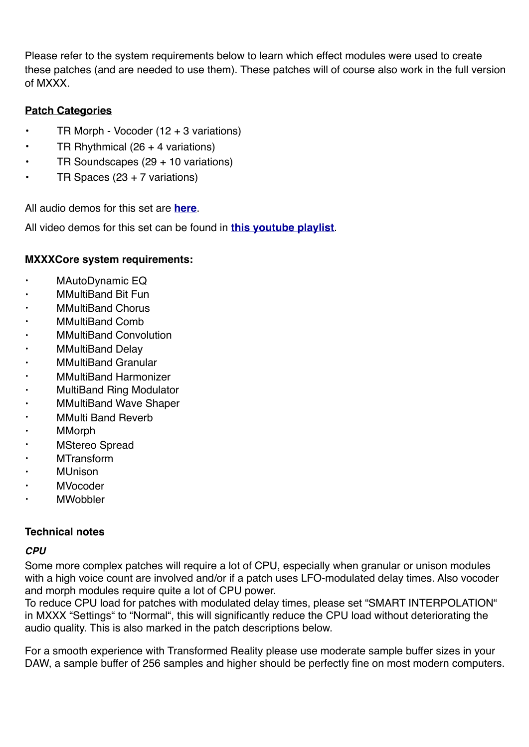Please refer to the system requirements below to learn which effect modules were used to create these patches (and are needed to use them). These patches will of course also work in the full version of MXXX.

# **Patch Categories**

- TR Morph Vocoder  $(12 + 3 \text{ variations})$
- TR Rhythmical (26 + 4 variations)
- TR Soundscapes (29 + 10 variations)
- TR Spaces (23 + 7 variations)

All audio demos for this set are **[here](https://soundcloud.com/sampleconstruct/sets/transformed-reality-for-melda)**.

All video demos for this set can be found in **[this youtube playlist](https://www.youtube.com/watch?v=w0gDGRq677Q&list=PLdDy6n1e-aeMnMk7sqIpw7f28MV4PVJ2d)**.

#### **MXXXCore system requirements:**

- MAutoDynamic EQ
- MMultiBand Bit Fun
- MMultiBand Chorus
- MMultiBand Comb
- MMultiBand Convolution
- MMultiBand Delay
- MMultiBand Granular
- MMultiBand Harmonizer
- MultiBand Ring Modulator
- MMultiBand Wave Shaper
- MMulti Band Reverb
- MMorph
- **MStereo Spread**
- MTransform
- MUnison
- MVocoder
- **MWobbler**

#### **Technical notes**

#### *CPU*

Some more complex patches will require a lot of CPU, especially when granular or unison modules with a high voice count are involved and/or if a patch uses LFO-modulated delay times. Also vocoder and morph modules require quite a lot of CPU power.

To reduce CPU load for patches with modulated delay times, please set "SMART INTERPOLATION" in MXXX "Settings" to "Normal", this will significantly reduce the CPU load without deteriorating the audio quality. This is also marked in the patch descriptions below.

For a smooth experience with Transformed Reality please use moderate sample buffer sizes in your DAW, a sample buffer of 256 samples and higher should be perfectly fine on most modern computers.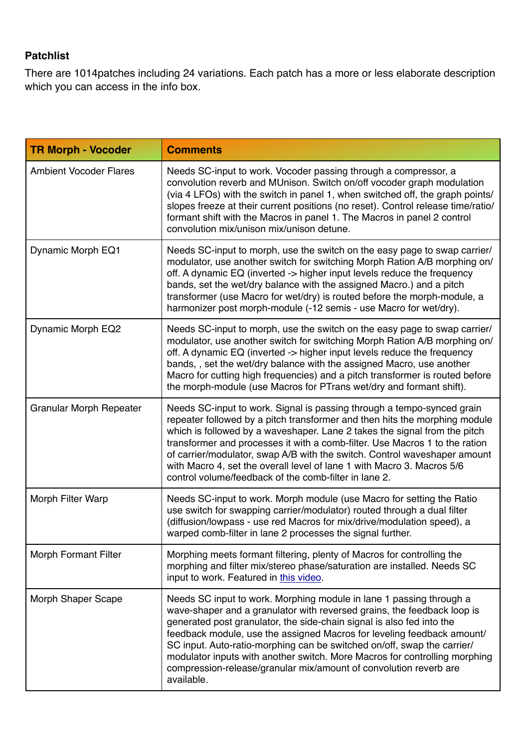# **Patchlist**

There are 1014patches including 24 variations. Each patch has a more or less elaborate description which you can access in the info box.

| <b>TR Morph - Vocoder</b>     | <b>Comments</b>                                                                                                                                                                                                                                                                                                                                                                                                                                                                                                                               |  |  |  |
|-------------------------------|-----------------------------------------------------------------------------------------------------------------------------------------------------------------------------------------------------------------------------------------------------------------------------------------------------------------------------------------------------------------------------------------------------------------------------------------------------------------------------------------------------------------------------------------------|--|--|--|
| <b>Ambient Vocoder Flares</b> | Needs SC-input to work. Vocoder passing through a compressor, a<br>convolution reverb and MUnison. Switch on/off vocoder graph modulation<br>(via 4 LFOs) with the switch in panel 1, when switched off, the graph points/<br>slopes freeze at their current positions (no reset). Control release time/ratio/<br>formant shift with the Macros in panel 1. The Macros in panel 2 control<br>convolution mix/unison mix/unison detune.                                                                                                        |  |  |  |
| Dynamic Morph EQ1             | Needs SC-input to morph, use the switch on the easy page to swap carrier/<br>modulator, use another switch for switching Morph Ration A/B morphing on/<br>off. A dynamic EQ (inverted -> higher input levels reduce the frequency<br>bands, set the wet/dry balance with the assigned Macro.) and a pitch<br>transformer (use Macro for wet/dry) is routed before the morph-module, a<br>harmonizer post morph-module (-12 semis - use Macro for wet/dry).                                                                                    |  |  |  |
| Dynamic Morph EQ2             | Needs SC-input to morph, use the switch on the easy page to swap carrier/<br>modulator, use another switch for switching Morph Ration A/B morphing on/<br>off. A dynamic EQ (inverted -> higher input levels reduce the frequency<br>bands,, set the wet/dry balance with the assigned Macro, use another<br>Macro for cutting high frequencies) and a pitch transformer is routed before<br>the morph-module (use Macros for PTrans wet/dry and formant shift).                                                                              |  |  |  |
| Granular Morph Repeater       | Needs SC-input to work. Signal is passing through a tempo-synced grain<br>repeater followed by a pitch transformer and then hits the morphing module<br>which is followed by a waveshaper. Lane 2 takes the signal from the pitch<br>transformer and processes it with a comb-filter. Use Macros 1 to the ration<br>of carrier/modulator, swap A/B with the switch. Control waveshaper amount<br>with Macro 4, set the overall level of lane 1 with Macro 3. Macros 5/6<br>control volume/feedback of the comb-filter in lane 2.              |  |  |  |
| Morph Filter Warp             | Needs SC-input to work. Morph module (use Macro for setting the Ratio<br>use switch for swapping carrier/modulator) routed through a dual filter<br>(diffusion/lowpass - use red Macros for mix/drive/modulation speed), a<br>warped comb-filter in lane 2 processes the signal further.                                                                                                                                                                                                                                                      |  |  |  |
| <b>Morph Formant Filter</b>   | Morphing meets formant filtering, plenty of Macros for controlling the<br>morphing and filter mix/stereo phase/saturation are installed. Needs SC<br>input to work. Featured in this video.                                                                                                                                                                                                                                                                                                                                                   |  |  |  |
| Morph Shaper Scape            | Needs SC input to work. Morphing module in lane 1 passing through a<br>wave-shaper and a granulator with reversed grains, the feedback loop is<br>generated post granulator, the side-chain signal is also fed into the<br>feedback module, use the assigned Macros for leveling feedback amount/<br>SC input. Auto-ratio-morphing can be switched on/off, swap the carrier/<br>modulator inputs with another switch. More Macros for controlling morphing<br>compression-release/granular mix/amount of convolution reverb are<br>available. |  |  |  |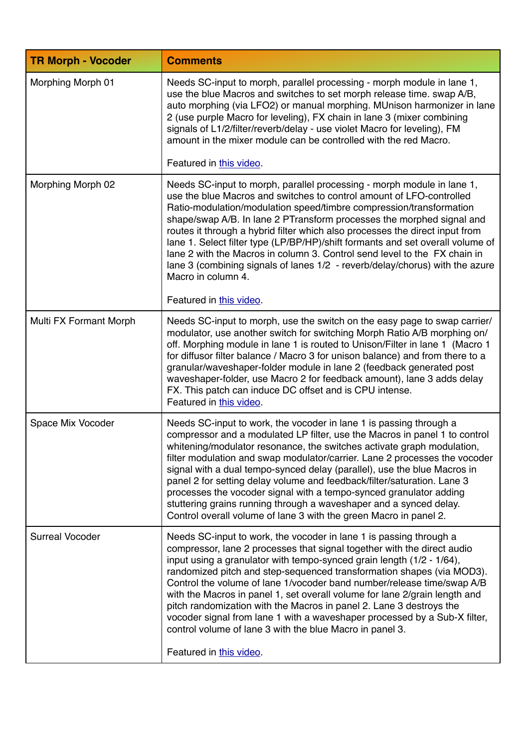| <b>TR Morph - Vocoder</b> | <b>Comments</b>                                                                                                                                                                                                                                                                                                                                                                                                                                                                                                                                                                                                                                                                                    |
|---------------------------|----------------------------------------------------------------------------------------------------------------------------------------------------------------------------------------------------------------------------------------------------------------------------------------------------------------------------------------------------------------------------------------------------------------------------------------------------------------------------------------------------------------------------------------------------------------------------------------------------------------------------------------------------------------------------------------------------|
| Morphing Morph 01         | Needs SC-input to morph, parallel processing - morph module in lane 1,<br>use the blue Macros and switches to set morph release time. swap A/B,<br>auto morphing (via LFO2) or manual morphing. MUnison harmonizer in lane<br>2 (use purple Macro for leveling), FX chain in lane 3 (mixer combining<br>signals of L1/2/filter/reverb/delay - use violet Macro for leveling), FM<br>amount in the mixer module can be controlled with the red Macro.                                                                                                                                                                                                                                               |
|                           | Featured in this video.                                                                                                                                                                                                                                                                                                                                                                                                                                                                                                                                                                                                                                                                            |
| Morphing Morph 02         | Needs SC-input to morph, parallel processing - morph module in lane 1,<br>use the blue Macros and switches to control amount of LFO-controlled<br>Ratio-modulation/modulation speed/timbre compression/transformation<br>shape/swap A/B. In lane 2 PTransform processes the morphed signal and<br>routes it through a hybrid filter which also processes the direct input from<br>lane 1. Select filter type (LP/BP/HP)/shift formants and set overall volume of<br>lane 2 with the Macros in column 3. Control send level to the FX chain in<br>lane 3 (combining signals of lanes 1/2 - reverb/delay/chorus) with the azure<br>Macro in column 4.                                                |
|                           | Featured in this video.                                                                                                                                                                                                                                                                                                                                                                                                                                                                                                                                                                                                                                                                            |
| Multi FX Formant Morph    | Needs SC-input to morph, use the switch on the easy page to swap carrier/<br>modulator, use another switch for switching Morph Ratio A/B morphing on/<br>off. Morphing module in lane 1 is routed to Unison/Filter in lane 1 (Macro 1<br>for diffusor filter balance / Macro 3 for unison balance) and from there to a<br>granular/waveshaper-folder module in lane 2 (feedback generated post<br>waveshaper-folder, use Macro 2 for feedback amount), lane 3 adds delay<br>FX. This patch can induce DC offset and is CPU intense.<br>Featured in this video.                                                                                                                                     |
| Space Mix Vocoder         | Needs SC-input to work, the vocoder in lane 1 is passing through a<br>compressor and a modulated LP filter, use the Macros in panel 1 to control<br>whitening/modulator resonance, the switches activate graph modulation,<br>filter modulation and swap modulator/carrier. Lane 2 processes the vocoder<br>signal with a dual tempo-synced delay (parallel), use the blue Macros in<br>panel 2 for setting delay volume and feedback/filter/saturation. Lane 3<br>processes the vocoder signal with a tempo-synced granulator adding<br>stuttering grains running through a waveshaper and a synced delay.<br>Control overall volume of lane 3 with the green Macro in panel 2.                   |
| <b>Surreal Vocoder</b>    | Needs SC-input to work, the vocoder in lane 1 is passing through a<br>compressor, lane 2 processes that signal together with the direct audio<br>input using a granulator with tempo-synced grain length (1/2 - 1/64),<br>randomized pitch and step-sequenced transformation shapes (via MOD3).<br>Control the volume of lane 1/vocoder band number/release time/swap A/B<br>with the Macros in panel 1, set overall volume for lane 2/grain length and<br>pitch randomization with the Macros in panel 2. Lane 3 destroys the<br>vocoder signal from lane 1 with a waveshaper processed by a Sub-X filter,<br>control volume of lane 3 with the blue Macro in panel 3.<br>Featured in this video. |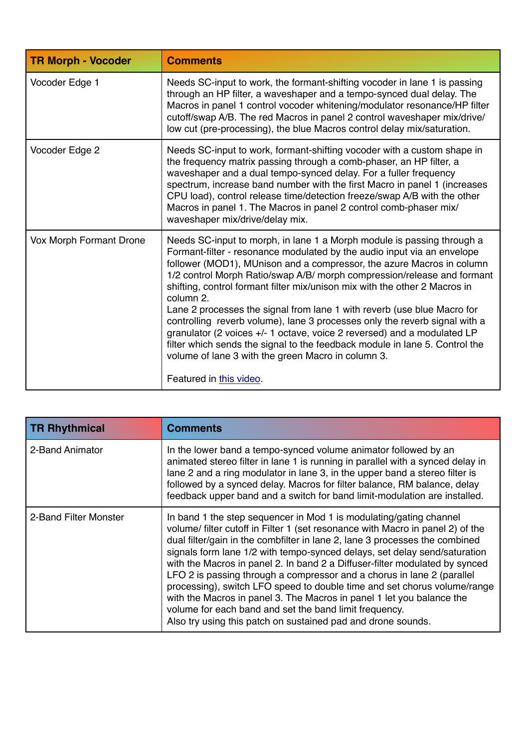| <b>TR Morph - Vocoder</b> | <b>Comments</b>                                                                                                                                                                                                                                                                                                                                                                                                                                                                                                                                                                                                                                                                                                                                                                                      |
|---------------------------|------------------------------------------------------------------------------------------------------------------------------------------------------------------------------------------------------------------------------------------------------------------------------------------------------------------------------------------------------------------------------------------------------------------------------------------------------------------------------------------------------------------------------------------------------------------------------------------------------------------------------------------------------------------------------------------------------------------------------------------------------------------------------------------------------|
| Vocoder Edge 1            | Needs SC-input to work, the formant-shifting vocoder in lane 1 is passing<br>through an HP filter, a waveshaper and a tempo-synced dual delay. The<br>Macros in panel 1 control vocoder whitening/modulator resonance/HP filter<br>cutoff/swap A/B. The red Macros in panel 2 control waveshaper mix/drive/<br>low cut (pre-processing), the blue Macros control delay mix/saturation.                                                                                                                                                                                                                                                                                                                                                                                                               |
| Vocoder Edge 2            | Needs SC-input to work, formant-shifting vocoder with a custom shape in<br>the frequency matrix passing through a comb-phaser, an HP filter, a<br>waveshaper and a dual tempo-synced delay. For a fuller frequency<br>spectrum, increase band number with the first Macro in panel 1 (increases<br>CPU load), control release time/detection freeze/swap A/B with the other<br>Macros in panel 1. The Macros in panel 2 control comb-phaser mix/<br>waveshaper mix/drive/delay mix.                                                                                                                                                                                                                                                                                                                  |
| Vox Morph Formant Drone   | Needs SC-input to morph, in lane 1 a Morph module is passing through a<br>Formant-filter - resonance modulated by the audio input via an envelope<br>follower (MOD1), MUnison and a compressor, the azure Macros in column<br>1/2 control Morph Ratio/swap A/B/ morph compression/release and formant<br>shifting, control formant filter mix/unison mix with the other 2 Macros in<br>column 2.<br>Lane 2 processes the signal from lane 1 with reverb (use blue Macro for<br>controlling reverb volume), lane 3 processes only the reverb signal with a<br>granulator (2 voices +/- 1 octave, voice 2 reversed) and a modulated LP<br>filter which sends the signal to the feedback module in lane 5. Control the<br>volume of lane 3 with the green Macro in column 3.<br>Featured in this video. |

| <b>TR Rhythmical</b>  | <b>Comments</b>                                                                                                                                                                                                                                                                                                                                                                                                                                                                                                                                                                                                                                                                                                                                          |
|-----------------------|----------------------------------------------------------------------------------------------------------------------------------------------------------------------------------------------------------------------------------------------------------------------------------------------------------------------------------------------------------------------------------------------------------------------------------------------------------------------------------------------------------------------------------------------------------------------------------------------------------------------------------------------------------------------------------------------------------------------------------------------------------|
| 2-Band Animator       | In the lower band a tempo-synced volume animator followed by an<br>animated stereo filter in lane 1 is running in parallel with a synced delay in<br>lane 2 and a ring modulator in lane 3, in the upper band a stereo filter is<br>followed by a synced delay. Macros for filter balance, RM balance, delay<br>feedback upper band and a switch for band limit-modulation are installed.                                                                                                                                                                                                                                                                                                                                                                |
| 2-Band Filter Monster | In band 1 the step sequencer in Mod 1 is modulating/gating channel<br>volume/ filter cutoff in Filter 1 (set resonance with Macro in panel 2) of the<br>dual filter/gain in the combfilter in lane 2, lane 3 processes the combined<br>signals form lane 1/2 with tempo-synced delays, set delay send/saturation<br>with the Macros in panel 2. In band 2 a Diffuser-filter modulated by synced<br>LFO 2 is passing through a compressor and a chorus in lane 2 (parallel<br>processing), switch LFO speed to double time and set chorus volume/range<br>with the Macros in panel 3. The Macros in panel 1 let you balance the<br>volume for each band and set the band limit frequency.<br>Also try using this patch on sustained pad and drone sounds. |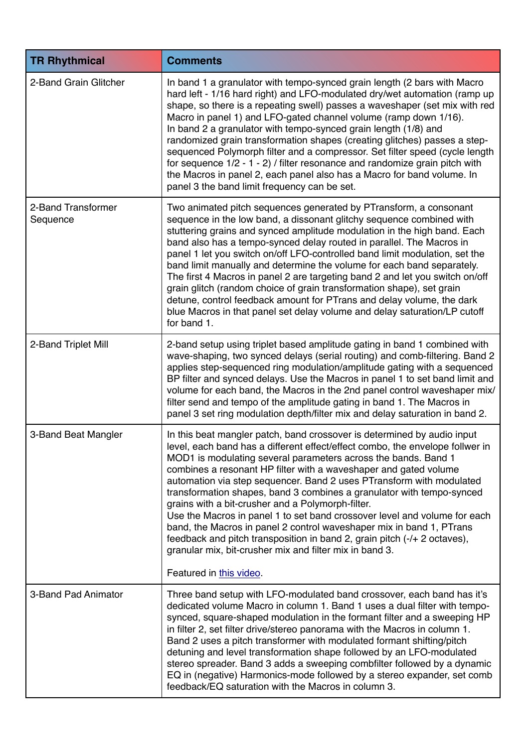| <b>TR Rhythmical</b>           | <b>Comments</b>                                                                                                                                                                                                                                                                                                                                                                                                                                                                                                                                                                                                                                                                                                                                                                                                             |
|--------------------------------|-----------------------------------------------------------------------------------------------------------------------------------------------------------------------------------------------------------------------------------------------------------------------------------------------------------------------------------------------------------------------------------------------------------------------------------------------------------------------------------------------------------------------------------------------------------------------------------------------------------------------------------------------------------------------------------------------------------------------------------------------------------------------------------------------------------------------------|
| 2-Band Grain Glitcher          | In band 1 a granulator with tempo-synced grain length (2 bars with Macro<br>hard left - 1/16 hard right) and LFO-modulated dry/wet automation (ramp up<br>shape, so there is a repeating swell) passes a waveshaper (set mix with red<br>Macro in panel 1) and LFO-gated channel volume (ramp down 1/16).<br>In band 2 a granulator with tempo-synced grain length (1/8) and<br>randomized grain transformation shapes (creating glitches) passes a step-<br>sequenced Polymorph filter and a compressor. Set filter speed (cycle length<br>for sequence $1/2 - 1 - 2$ / filter resonance and randomize grain pitch with<br>the Macros in panel 2, each panel also has a Macro for band volume. In<br>panel 3 the band limit frequency can be set.                                                                          |
| 2-Band Transformer<br>Sequence | Two animated pitch sequences generated by PTransform, a consonant<br>sequence in the low band, a dissonant glitchy sequence combined with<br>stuttering grains and synced amplitude modulation in the high band. Each<br>band also has a tempo-synced delay routed in parallel. The Macros in<br>panel 1 let you switch on/off LFO-controlled band limit modulation, set the<br>band limit manually and determine the volume for each band separately.<br>The first 4 Macros in panel 2 are targeting band 2 and let you switch on/off<br>grain glitch (random choice of grain transformation shape), set grain<br>detune, control feedback amount for PTrans and delay volume, the dark<br>blue Macros in that panel set delay volume and delay saturation/LP cutoff<br>for band 1.                                        |
| 2-Band Triplet Mill            | 2-band setup using triplet based amplitude gating in band 1 combined with<br>wave-shaping, two synced delays (serial routing) and comb-filtering. Band 2<br>applies step-sequenced ring modulation/amplitude gating with a sequenced<br>BP filter and synced delays. Use the Macros in panel 1 to set band limit and<br>volume for each band, the Macros in the 2nd panel control waveshaper mix/<br>filter send and tempo of the amplitude gating in band 1. The Macros in<br>panel 3 set ring modulation depth/filter mix and delay saturation in band 2.                                                                                                                                                                                                                                                                 |
| 3-Band Beat Mangler            | In this beat mangler patch, band crossover is determined by audio input<br>level, each band has a different effect/effect combo, the envelope follwer in<br>MOD1 is modulating several parameters across the bands. Band 1<br>combines a resonant HP filter with a waveshaper and gated volume<br>automation via step sequencer. Band 2 uses PTransform with modulated<br>transformation shapes, band 3 combines a granulator with tempo-synced<br>grains with a bit-crusher and a Polymorph-filter.<br>Use the Macros in panel 1 to set band crossover level and volume for each<br>band, the Macros in panel 2 control waveshaper mix in band 1, PTrans<br>feedback and pitch transposition in band 2, grain pitch (-/+ 2 octaves),<br>granular mix, bit-crusher mix and filter mix in band 3.<br>Featured in this video. |
|                                |                                                                                                                                                                                                                                                                                                                                                                                                                                                                                                                                                                                                                                                                                                                                                                                                                             |
| 3-Band Pad Animator            | Three band setup with LFO-modulated band crossover, each band has it's<br>dedicated volume Macro in column 1. Band 1 uses a dual filter with tempo-<br>synced, square-shaped modulation in the formant filter and a sweeping HP<br>in filter 2, set filter drive/stereo panorama with the Macros in column 1.<br>Band 2 uses a pitch transformer with modulated formant shifting/pitch<br>detuning and level transformation shape followed by an LFO-modulated<br>stereo spreader. Band 3 adds a sweeping combfilter followed by a dynamic<br>EQ in (negative) Harmonics-mode followed by a stereo expander, set comb<br>feedback/EQ saturation with the Macros in column 3.                                                                                                                                                |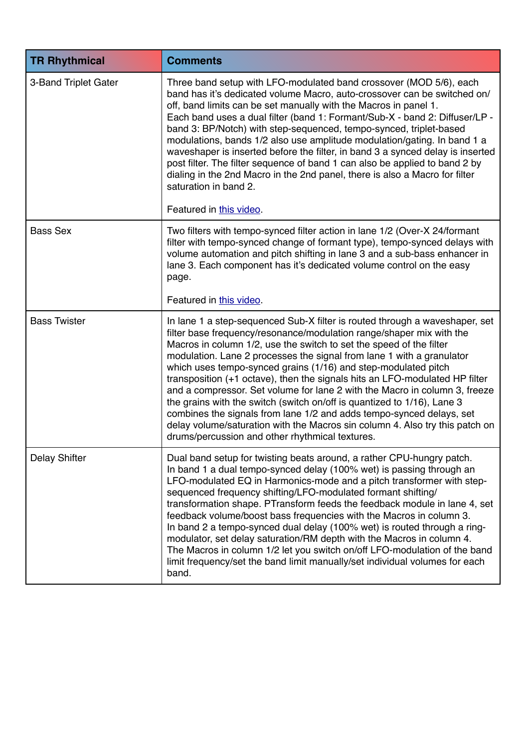| <b>TR Rhythmical</b> | <b>Comments</b>                                                                                                                                                                                                                                                                                                                                                                                                                                                                                                                                                                                                                                                                                                                                                      |
|----------------------|----------------------------------------------------------------------------------------------------------------------------------------------------------------------------------------------------------------------------------------------------------------------------------------------------------------------------------------------------------------------------------------------------------------------------------------------------------------------------------------------------------------------------------------------------------------------------------------------------------------------------------------------------------------------------------------------------------------------------------------------------------------------|
| 3-Band Triplet Gater | Three band setup with LFO-modulated band crossover (MOD 5/6), each<br>band has it's dedicated volume Macro, auto-crossover can be switched on/<br>off, band limits can be set manually with the Macros in panel 1.<br>Each band uses a dual filter (band 1: Formant/Sub-X - band 2: Diffuser/LP -<br>band 3: BP/Notch) with step-sequenced, tempo-synced, triplet-based<br>modulations, bands 1/2 also use amplitude modulation/gating. In band 1 a<br>waveshaper is inserted before the filter, in band 3 a synced delay is inserted<br>post filter. The filter sequence of band 1 can also be applied to band 2 by<br>dialing in the 2nd Macro in the 2nd panel, there is also a Macro for filter<br>saturation in band 2.<br>Featured in this video.              |
| <b>Bass Sex</b>      | Two filters with tempo-synced filter action in lane 1/2 (Over-X 24/formant<br>filter with tempo-synced change of formant type), tempo-synced delays with<br>volume automation and pitch shifting in lane 3 and a sub-bass enhancer in<br>lane 3. Each component has it's dedicated volume control on the easy<br>page.<br>Featured in this video.                                                                                                                                                                                                                                                                                                                                                                                                                    |
| <b>Bass Twister</b>  | In lane 1 a step-sequenced Sub-X filter is routed through a waveshaper, set                                                                                                                                                                                                                                                                                                                                                                                                                                                                                                                                                                                                                                                                                          |
|                      | filter base frequency/resonance/modulation range/shaper mix with the<br>Macros in column 1/2, use the switch to set the speed of the filter<br>modulation. Lane 2 processes the signal from lane 1 with a granulator<br>which uses tempo-synced grains (1/16) and step-modulated pitch<br>transposition (+1 octave), then the signals hits an LFO-modulated HP filter<br>and a compressor. Set volume for lane 2 with the Macro in column 3, freeze<br>the grains with the switch (switch on/off is quantized to 1/16), Lane 3<br>combines the signals from lane 1/2 and adds tempo-synced delays, set<br>delay volume/saturation with the Macros sin column 4. Also try this patch on<br>drums/percussion and other rhythmical textures.                            |
| <b>Delay Shifter</b> | Dual band setup for twisting beats around, a rather CPU-hungry patch.<br>In band 1 a dual tempo-synced delay (100% wet) is passing through an<br>LFO-modulated EQ in Harmonics-mode and a pitch transformer with step-<br>sequenced frequency shifting/LFO-modulated formant shifting/<br>transformation shape. PTransform feeds the feedback module in lane 4, set<br>feedback volume/boost bass frequencies with the Macros in column 3.<br>In band 2 a tempo-synced dual delay (100% wet) is routed through a ring-<br>modulator, set delay saturation/RM depth with the Macros in column 4.<br>The Macros in column 1/2 let you switch on/off LFO-modulation of the band<br>limit frequency/set the band limit manually/set individual volumes for each<br>band. |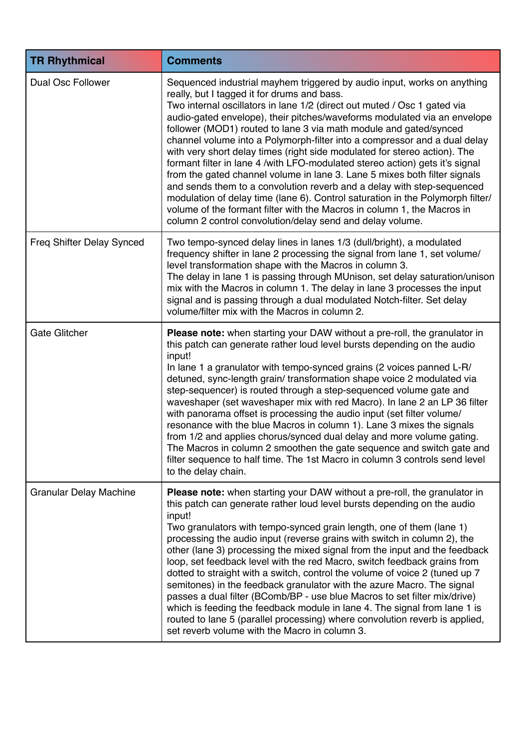| <b>TR Rhythmical</b>          | <b>Comments</b>                                                                                                                                                                                                                                                                                                                                                                                                                                                                                                                                                                                                                                                                                                                                                                                                                                                                                                                                                                |
|-------------------------------|--------------------------------------------------------------------------------------------------------------------------------------------------------------------------------------------------------------------------------------------------------------------------------------------------------------------------------------------------------------------------------------------------------------------------------------------------------------------------------------------------------------------------------------------------------------------------------------------------------------------------------------------------------------------------------------------------------------------------------------------------------------------------------------------------------------------------------------------------------------------------------------------------------------------------------------------------------------------------------|
| <b>Dual Osc Follower</b>      | Sequenced industrial mayhem triggered by audio input, works on anything<br>really, but I tagged it for drums and bass.<br>Two internal oscillators in lane 1/2 (direct out muted / Osc 1 gated via<br>audio-gated envelope), their pitches/waveforms modulated via an envelope<br>follower (MOD1) routed to lane 3 via math module and gated/synced<br>channel volume into a Polymorph-filter into a compressor and a dual delay<br>with very short delay times (right side modulated for stereo action). The<br>formant filter in lane 4 /with LFO-modulated stereo action) gets it's signal<br>from the gated channel volume in lane 3. Lane 5 mixes both filter signals<br>and sends them to a convolution reverb and a delay with step-sequenced<br>modulation of delay time (lane 6). Control saturation in the Polymorph filter/<br>volume of the formant filter with the Macros in column 1, the Macros in<br>column 2 control convolution/delay send and delay volume. |
| Freq Shifter Delay Synced     | Two tempo-synced delay lines in lanes 1/3 (dull/bright), a modulated<br>frequency shifter in lane 2 processing the signal from lane 1, set volume/<br>level transformation shape with the Macros in column 3.<br>The delay in lane 1 is passing through MUnison, set delay saturation/unison<br>mix with the Macros in column 1. The delay in lane 3 processes the input<br>signal and is passing through a dual modulated Notch-filter. Set delay<br>volume/filter mix with the Macros in column 2.                                                                                                                                                                                                                                                                                                                                                                                                                                                                           |
| <b>Gate Glitcher</b>          | Please note: when starting your DAW without a pre-roll, the granulator in<br>this patch can generate rather loud level bursts depending on the audio<br>input!<br>In lane 1 a granulator with tempo-synced grains (2 voices panned L-R/<br>detuned, sync-length grain/ transformation shape voice 2 modulated via<br>step-sequencer) is routed through a step-sequenced volume gate and<br>waveshaper (set waveshaper mix with red Macro). In lane 2 an LP 36 filter<br>with panorama offset is processing the audio input (set filter volume/<br>resonance with the blue Macros in column 1). Lane 3 mixes the signals<br>from 1/2 and applies chorus/synced dual delay and more volume gating.<br>The Macros in column 2 smoothen the gate sequence and switch gate and<br>filter sequence to half time. The 1st Macro in column 3 controls send level<br>to the delay chain.                                                                                                |
| <b>Granular Delay Machine</b> | <b>Please note:</b> when starting your DAW without a pre-roll, the granulator in<br>this patch can generate rather loud level bursts depending on the audio<br>input!<br>Two granulators with tempo-synced grain length, one of them (lane 1)<br>processing the audio input (reverse grains with switch in column 2), the<br>other (lane 3) processing the mixed signal from the input and the feedback<br>loop, set feedback level with the red Macro, switch feedback grains from<br>dotted to straight with a switch, control the volume of voice 2 (tuned up 7<br>semitones) in the feedback granulator with the azure Macro. The signal<br>passes a dual filter (BComb/BP - use blue Macros to set filter mix/drive)<br>which is feeding the feedback module in lane 4. The signal from lane 1 is<br>routed to lane 5 (parallel processing) where convolution reverb is applied,<br>set reverb volume with the Macro in column 3.                                         |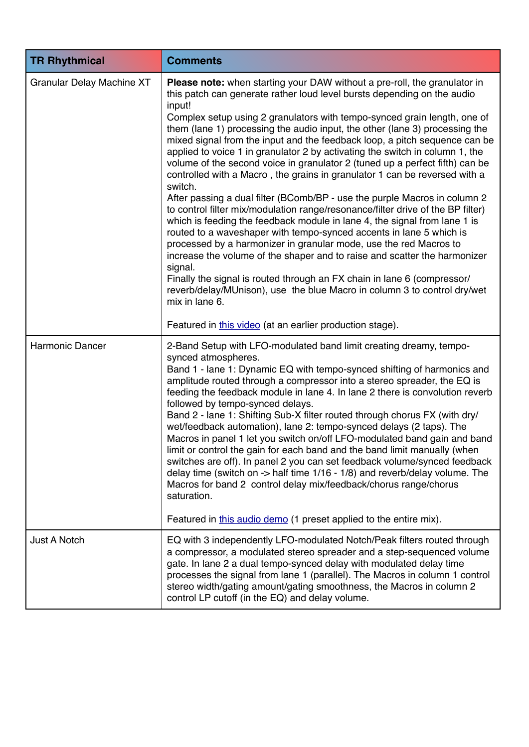| <b>TR Rhythmical</b>             | <b>Comments</b>                                                                                                                                                                                                                                                                                                                                                                                                                                                                                                                                                                                                                                                                                                                                                                                                                                                                                                                                                                                                                                                                                                                                                                                                                                                                                                                                                                        |  |  |
|----------------------------------|----------------------------------------------------------------------------------------------------------------------------------------------------------------------------------------------------------------------------------------------------------------------------------------------------------------------------------------------------------------------------------------------------------------------------------------------------------------------------------------------------------------------------------------------------------------------------------------------------------------------------------------------------------------------------------------------------------------------------------------------------------------------------------------------------------------------------------------------------------------------------------------------------------------------------------------------------------------------------------------------------------------------------------------------------------------------------------------------------------------------------------------------------------------------------------------------------------------------------------------------------------------------------------------------------------------------------------------------------------------------------------------|--|--|
| <b>Granular Delay Machine XT</b> | Please note: when starting your DAW without a pre-roll, the granulator in<br>this patch can generate rather loud level bursts depending on the audio<br>input!<br>Complex setup using 2 granulators with tempo-synced grain length, one of<br>them (lane 1) processing the audio input, the other (lane 3) processing the<br>mixed signal from the input and the feedback loop, a pitch sequence can be<br>applied to voice 1 in granulator 2 by activating the switch in column 1, the<br>volume of the second voice in granulator 2 (tuned up a perfect fifth) can be<br>controlled with a Macro, the grains in granulator 1 can be reversed with a<br>switch.<br>After passing a dual filter (BComb/BP - use the purple Macros in column 2<br>to control filter mix/modulation range/resonance/filter drive of the BP filter)<br>which is feeding the feedback module in lane 4, the signal from lane 1 is<br>routed to a waveshaper with tempo-synced accents in lane 5 which is<br>processed by a harmonizer in granular mode, use the red Macros to<br>increase the volume of the shaper and to raise and scatter the harmonizer<br>signal.<br>Finally the signal is routed through an FX chain in lane 6 (compressor/<br>reverb/delay/MUnison), use the blue Macro in column 3 to control dry/wet<br>mix in lane 6.<br>Featured in this video (at an earlier production stage). |  |  |
| <b>Harmonic Dancer</b>           | 2-Band Setup with LFO-modulated band limit creating dreamy, tempo-<br>synced atmospheres.<br>Band 1 - lane 1: Dynamic EQ with tempo-synced shifting of harmonics and<br>amplitude routed through a compressor into a stereo spreader, the EQ is<br>feeding the feedback module in lane 4. In lane 2 there is convolution reverb<br>followed by tempo-synced delays.<br>Band 2 - lane 1: Shifting Sub-X filter routed through chorus FX (with dry/<br>wet/feedback automation), lane 2: tempo-synced delays (2 taps). The<br>Macros in panel 1 let you switch on/off LFO-modulated band gain and band<br>limit or control the gain for each band and the band limit manually (when<br>switches are off). In panel 2 you can set feedback volume/synced feedback<br>delay time (switch on $\rightarrow$ half time 1/16 - 1/8) and reverb/delay volume. The<br>Macros for band 2 control delay mix/feedback/chorus range/chorus<br>saturation.<br>Featured in this audio demo (1 preset applied to the entire mix).                                                                                                                                                                                                                                                                                                                                                                       |  |  |
| <b>Just A Notch</b>              | EQ with 3 independently LFO-modulated Notch/Peak filters routed through<br>a compressor, a modulated stereo spreader and a step-sequenced volume<br>gate. In lane 2 a dual tempo-synced delay with modulated delay time<br>processes the signal from lane 1 (parallel). The Macros in column 1 control<br>stereo width/gating amount/gating smoothness, the Macros in column 2<br>control LP cutoff (in the EQ) and delay volume.                                                                                                                                                                                                                                                                                                                                                                                                                                                                                                                                                                                                                                                                                                                                                                                                                                                                                                                                                      |  |  |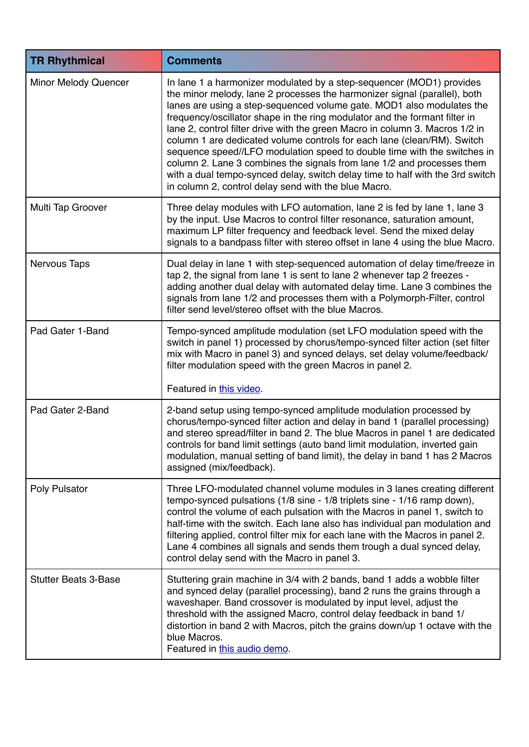| <b>TR Rhythmical</b>        | <b>Comments</b>                                                                                                                                                                                                                                                                                                                                                                                                                                                                                                                                                                                                                                                                                                                                                    |
|-----------------------------|--------------------------------------------------------------------------------------------------------------------------------------------------------------------------------------------------------------------------------------------------------------------------------------------------------------------------------------------------------------------------------------------------------------------------------------------------------------------------------------------------------------------------------------------------------------------------------------------------------------------------------------------------------------------------------------------------------------------------------------------------------------------|
| Minor Melody Quencer        | In lane 1 a harmonizer modulated by a step-sequencer (MOD1) provides<br>the minor melody, lane 2 processes the harmonizer signal (parallel), both<br>lanes are using a step-sequenced volume gate. MOD1 also modulates the<br>frequency/oscillator shape in the ring modulator and the formant filter in<br>lane 2, control filter drive with the green Macro in column 3. Macros 1/2 in<br>column 1 are dedicated volume controls for each lane (clean/RM). Switch<br>sequence speed//LFO modulation speed to double time with the switches in<br>column 2. Lane 3 combines the signals from lane 1/2 and processes them<br>with a dual tempo-synced delay, switch delay time to half with the 3rd switch<br>in column 2, control delay send with the blue Macro. |
| Multi Tap Groover           | Three delay modules with LFO automation, lane 2 is fed by lane 1, lane 3<br>by the input. Use Macros to control filter resonance, saturation amount,<br>maximum LP filter frequency and feedback level. Send the mixed delay<br>signals to a bandpass filter with stereo offset in lane 4 using the blue Macro.                                                                                                                                                                                                                                                                                                                                                                                                                                                    |
| <b>Nervous Taps</b>         | Dual delay in lane 1 with step-sequenced automation of delay time/freeze in<br>tap 2, the signal from lane 1 is sent to lane 2 whenever tap 2 freezes -<br>adding another dual delay with automated delay time. Lane 3 combines the<br>signals from lane 1/2 and processes them with a Polymorph-Filter, control<br>filter send level/stereo offset with the blue Macros.                                                                                                                                                                                                                                                                                                                                                                                          |
| Pad Gater 1-Band            | Tempo-synced amplitude modulation (set LFO modulation speed with the<br>switch in panel 1) processed by chorus/tempo-synced filter action (set filter<br>mix with Macro in panel 3) and synced delays, set delay volume/feedback/<br>filter modulation speed with the green Macros in panel 2.                                                                                                                                                                                                                                                                                                                                                                                                                                                                     |
|                             | Featured in this video.                                                                                                                                                                                                                                                                                                                                                                                                                                                                                                                                                                                                                                                                                                                                            |
| Pad Gater 2-Band            | 2-band setup using tempo-synced amplitude modulation processed by<br>chorus/tempo-synced filter action and delay in band 1 (parallel processing)<br>and stereo spread/filter in band 2. The blue Macros in panel 1 are dedicated<br>controls for band limit settings (auto band limit modulation, inverted gain<br>modulation, manual setting of band limit), the delay in band 1 has 2 Macros<br>assigned (mix/feedback).                                                                                                                                                                                                                                                                                                                                         |
| Poly Pulsator               | Three LFO-modulated channel volume modules in 3 lanes creating different<br>tempo-synced pulsations (1/8 sine - 1/8 triplets sine - 1/16 ramp down),<br>control the volume of each pulsation with the Macros in panel 1, switch to<br>half-time with the switch. Each lane also has individual pan modulation and<br>filtering applied, control filter mix for each lane with the Macros in panel 2.<br>Lane 4 combines all signals and sends them trough a dual synced delay,<br>control delay send with the Macro in panel 3.                                                                                                                                                                                                                                    |
| <b>Stutter Beats 3-Base</b> | Stuttering grain machine in 3/4 with 2 bands, band 1 adds a wobble filter<br>and synced delay (parallel processing), band 2 runs the grains through a<br>waveshaper. Band crossover is modulated by input level, adjust the<br>threshold with the assigned Macro, control delay feedback in band 1/<br>distortion in band 2 with Macros, pitch the grains down/up 1 octave with the<br>blue Macros.<br>Featured in this audio demo.                                                                                                                                                                                                                                                                                                                                |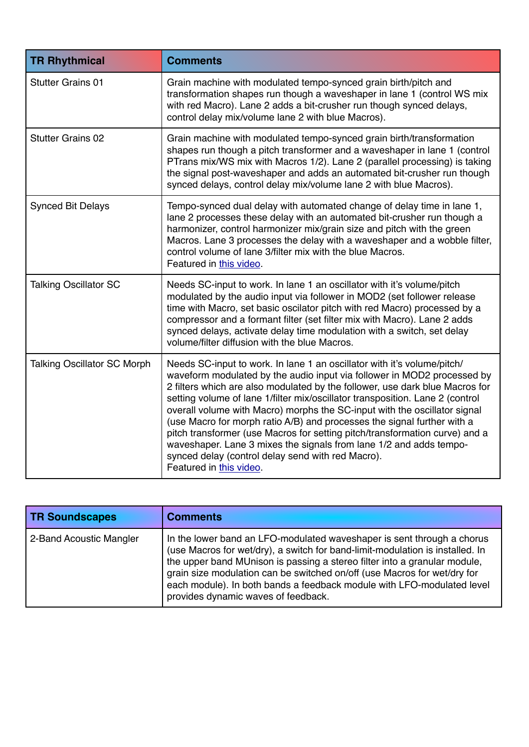| <b>TR Rhythmical</b>               | <b>Comments</b>                                                                                                                                                                                                                                                                                                                                                                                                                                                                                                                                                                                                                                                                                                  |
|------------------------------------|------------------------------------------------------------------------------------------------------------------------------------------------------------------------------------------------------------------------------------------------------------------------------------------------------------------------------------------------------------------------------------------------------------------------------------------------------------------------------------------------------------------------------------------------------------------------------------------------------------------------------------------------------------------------------------------------------------------|
| <b>Stutter Grains 01</b>           | Grain machine with modulated tempo-synced grain birth/pitch and<br>transformation shapes run though a waveshaper in lane 1 (control WS mix<br>with red Macro). Lane 2 adds a bit-crusher run though synced delays,<br>control delay mix/volume lane 2 with blue Macros).                                                                                                                                                                                                                                                                                                                                                                                                                                         |
| <b>Stutter Grains 02</b>           | Grain machine with modulated tempo-synced grain birth/transformation<br>shapes run though a pitch transformer and a waveshaper in lane 1 (control<br>PTrans mix/WS mix with Macros 1/2). Lane 2 (parallel processing) is taking<br>the signal post-waveshaper and adds an automated bit-crusher run though<br>synced delays, control delay mix/volume lane 2 with blue Macros).                                                                                                                                                                                                                                                                                                                                  |
| <b>Synced Bit Delays</b>           | Tempo-synced dual delay with automated change of delay time in lane 1,<br>lane 2 processes these delay with an automated bit-crusher run though a<br>harmonizer, control harmonizer mix/grain size and pitch with the green<br>Macros. Lane 3 processes the delay with a waveshaper and a wobble filter,<br>control volume of lane 3/filter mix with the blue Macros.<br>Featured in this video.                                                                                                                                                                                                                                                                                                                 |
| <b>Talking Oscillator SC</b>       | Needs SC-input to work. In lane 1 an oscillator with it's volume/pitch<br>modulated by the audio input via follower in MOD2 (set follower release<br>time with Macro, set basic oscilator pitch with red Macro) processed by a<br>compressor and a formant filter (set filter mix with Macro). Lane 2 adds<br>synced delays, activate delay time modulation with a switch, set delay<br>volume/filter diffusion with the blue Macros.                                                                                                                                                                                                                                                                            |
| <b>Talking Oscillator SC Morph</b> | Needs SC-input to work. In lane 1 an oscillator with it's volume/pitch/<br>waveform modulated by the audio input via follower in MOD2 processed by<br>2 filters which are also modulated by the follower, use dark blue Macros for<br>setting volume of lane 1/filter mix/oscillator transposition. Lane 2 (control<br>overall volume with Macro) morphs the SC-input with the oscillator signal<br>(use Macro for morph ratio A/B) and processes the signal further with a<br>pitch transformer (use Macros for setting pitch/transformation curve) and a<br>waveshaper. Lane 3 mixes the signals from lane 1/2 and adds tempo-<br>synced delay (control delay send with red Macro).<br>Featured in this video. |

| <b>TR Soundscapes</b>   | <b>Comments</b>                                                                                                                                                                                                                                                                                                                                                                                                                   |
|-------------------------|-----------------------------------------------------------------------------------------------------------------------------------------------------------------------------------------------------------------------------------------------------------------------------------------------------------------------------------------------------------------------------------------------------------------------------------|
| 2-Band Acoustic Mangler | In the lower band an LFO-modulated waveshaper is sent through a chorus<br>(use Macros for wet/dry), a switch for band-limit-modulation is installed. In<br>the upper band MUnison is passing a stereo filter into a granular module,<br>grain size modulation can be switched on/off (use Macros for wet/dry for<br>each module). In both bands a feedback module with LFO-modulated level<br>provides dynamic waves of feedback. |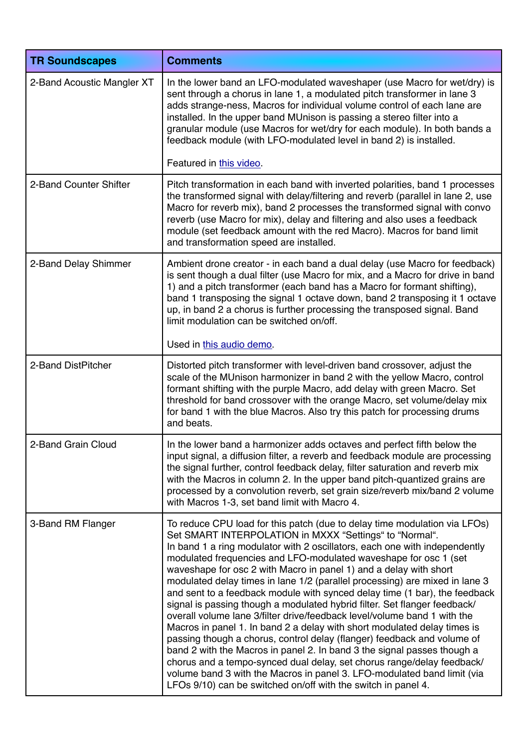| <b>TR Soundscapes</b>      | <b>Comments</b>                                                                                                                                                                                                                                                                                                                                                                                                                                                                                                                                                                                                                                                                                                                                                                                                                                                                                                                                                                                                                                                                                                                           |
|----------------------------|-------------------------------------------------------------------------------------------------------------------------------------------------------------------------------------------------------------------------------------------------------------------------------------------------------------------------------------------------------------------------------------------------------------------------------------------------------------------------------------------------------------------------------------------------------------------------------------------------------------------------------------------------------------------------------------------------------------------------------------------------------------------------------------------------------------------------------------------------------------------------------------------------------------------------------------------------------------------------------------------------------------------------------------------------------------------------------------------------------------------------------------------|
| 2-Band Acoustic Mangler XT | In the lower band an LFO-modulated waveshaper (use Macro for wet/dry) is<br>sent through a chorus in lane 1, a modulated pitch transformer in lane 3<br>adds strange-ness, Macros for individual volume control of each lane are<br>installed. In the upper band MUnison is passing a stereo filter into a<br>granular module (use Macros for wet/dry for each module). In both bands a<br>feedback module (with LFO-modulated level in band 2) is installed.                                                                                                                                                                                                                                                                                                                                                                                                                                                                                                                                                                                                                                                                             |
|                            | Featured in this video.                                                                                                                                                                                                                                                                                                                                                                                                                                                                                                                                                                                                                                                                                                                                                                                                                                                                                                                                                                                                                                                                                                                   |
| 2-Band Counter Shifter     | Pitch transformation in each band with inverted polarities, band 1 processes<br>the transformed signal with delay/filtering and reverb (parallel in lane 2, use<br>Macro for reverb mix), band 2 processes the transformed signal with convo<br>reverb (use Macro for mix), delay and filtering and also uses a feedback<br>module (set feedback amount with the red Macro). Macros for band limit<br>and transformation speed are installed.                                                                                                                                                                                                                                                                                                                                                                                                                                                                                                                                                                                                                                                                                             |
| 2-Band Delay Shimmer       | Ambient drone creator - in each band a dual delay (use Macro for feedback)<br>is sent though a dual filter (use Macro for mix, and a Macro for drive in band<br>1) and a pitch transformer (each band has a Macro for formant shifting),<br>band 1 transposing the signal 1 octave down, band 2 transposing it 1 octave<br>up, in band 2 a chorus is further processing the transposed signal. Band<br>limit modulation can be switched on/off.                                                                                                                                                                                                                                                                                                                                                                                                                                                                                                                                                                                                                                                                                           |
|                            | Used in this audio demo.                                                                                                                                                                                                                                                                                                                                                                                                                                                                                                                                                                                                                                                                                                                                                                                                                                                                                                                                                                                                                                                                                                                  |
| 2-Band DistPitcher         | Distorted pitch transformer with level-driven band crossover, adjust the<br>scale of the MUnison harmonizer in band 2 with the yellow Macro, control<br>formant shifting with the purple Macro, add delay with green Macro. Set<br>threshold for band crossover with the orange Macro, set volume/delay mix<br>for band 1 with the blue Macros. Also try this patch for processing drums<br>and beats.                                                                                                                                                                                                                                                                                                                                                                                                                                                                                                                                                                                                                                                                                                                                    |
| 2-Band Grain Cloud         | In the lower band a harmonizer adds octaves and perfect fifth below the<br>input signal, a diffusion filter, a reverb and feedback module are processing<br>the signal further, control feedback delay, filter saturation and reverb mix<br>with the Macros in column 2. In the upper band pitch-quantized grains are<br>processed by a convolution reverb, set grain size/reverb mix/band 2 volume<br>with Macros 1-3, set band limit with Macro 4.                                                                                                                                                                                                                                                                                                                                                                                                                                                                                                                                                                                                                                                                                      |
| 3-Band RM Flanger          | To reduce CPU load for this patch (due to delay time modulation via LFOs)<br>Set SMART INTERPOLATION in MXXX "Settings" to "Normal".<br>In band 1 a ring modulator with 2 oscillators, each one with independently<br>modulated frequencies and LFO-modulated waveshape for osc 1 (set<br>waveshape for osc 2 with Macro in panel 1) and a delay with short<br>modulated delay times in lane 1/2 (parallel processing) are mixed in lane 3<br>and sent to a feedback module with synced delay time (1 bar), the feedback<br>signal is passing though a modulated hybrid filter. Set flanger feedback/<br>overall volume lane 3/filter drive/feedback level/volume band 1 with the<br>Macros in panel 1. In band 2 a delay with short modulated delay times is<br>passing though a chorus, control delay (flanger) feedback and volume of<br>band 2 with the Macros in panel 2. In band 3 the signal passes though a<br>chorus and a tempo-synced dual delay, set chorus range/delay feedback/<br>volume band 3 with the Macros in panel 3. LFO-modulated band limit (via<br>LFOs 9/10) can be switched on/off with the switch in panel 4. |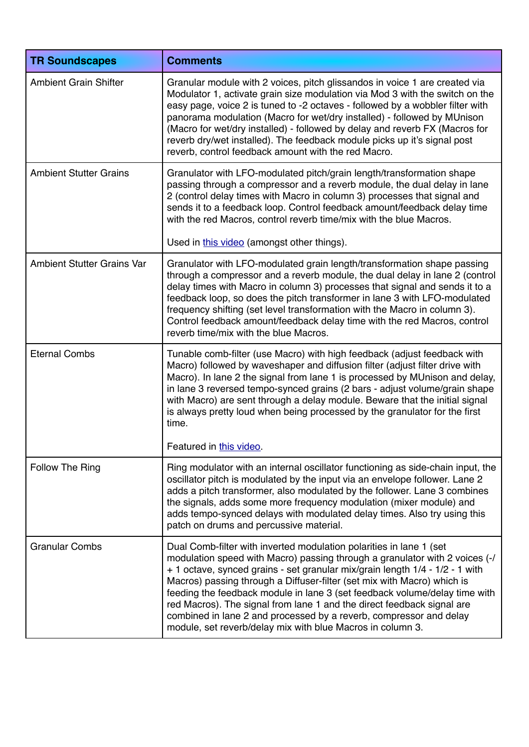| <b>TR Soundscapes</b>             | <b>Comments</b>                                                                                                                                                                                                                                                                                                                                                                                                                                                                                                                                                                                           |
|-----------------------------------|-----------------------------------------------------------------------------------------------------------------------------------------------------------------------------------------------------------------------------------------------------------------------------------------------------------------------------------------------------------------------------------------------------------------------------------------------------------------------------------------------------------------------------------------------------------------------------------------------------------|
| <b>Ambient Grain Shifter</b>      | Granular module with 2 voices, pitch glissandos in voice 1 are created via<br>Modulator 1, activate grain size modulation via Mod 3 with the switch on the<br>easy page, voice 2 is tuned to -2 octaves - followed by a wobbler filter with<br>panorama modulation (Macro for wet/dry installed) - followed by MUnison<br>(Macro for wet/dry installed) - followed by delay and reverb FX (Macros for<br>reverb dry/wet installed). The feedback module picks up it's signal post<br>reverb, control feedback amount with the red Macro.                                                                  |
| <b>Ambient Stutter Grains</b>     | Granulator with LFO-modulated pitch/grain length/transformation shape<br>passing through a compressor and a reverb module, the dual delay in lane<br>2 (control delay times with Macro in column 3) processes that signal and<br>sends it to a feedback loop. Control feedback amount/feedback delay time<br>with the red Macros, control reverb time/mix with the blue Macros.<br>Used in this video (amongst other things).                                                                                                                                                                             |
| <b>Ambient Stutter Grains Var</b> | Granulator with LFO-modulated grain length/transformation shape passing<br>through a compressor and a reverb module, the dual delay in lane 2 (control                                                                                                                                                                                                                                                                                                                                                                                                                                                    |
|                                   | delay times with Macro in column 3) processes that signal and sends it to a<br>feedback loop, so does the pitch transformer in lane 3 with LFO-modulated<br>frequency shifting (set level transformation with the Macro in column 3).<br>Control feedback amount/feedback delay time with the red Macros, control<br>reverb time/mix with the blue Macros.                                                                                                                                                                                                                                                |
| <b>Eternal Combs</b>              | Tunable comb-filter (use Macro) with high feedback (adjust feedback with<br>Macro) followed by waveshaper and diffusion filter (adjust filter drive with<br>Macro). In lane 2 the signal from lane 1 is processed by MUnison and delay,<br>in lane 3 reversed tempo-synced grains (2 bars - adjust volume/grain shape<br>with Macro) are sent through a delay module. Beware that the initial signal<br>is always pretty loud when being processed by the granulator for the first<br>time.<br>Featured in this video.                                                                                    |
|                                   |                                                                                                                                                                                                                                                                                                                                                                                                                                                                                                                                                                                                           |
| Follow The Ring                   | Ring modulator with an internal oscillator functioning as side-chain input, the<br>oscillator pitch is modulated by the input via an envelope follower. Lane 2<br>adds a pitch transformer, also modulated by the follower. Lane 3 combines<br>the signals, adds some more frequency modulation (mixer module) and<br>adds tempo-synced delays with modulated delay times. Also try using this<br>patch on drums and percussive material.                                                                                                                                                                 |
| <b>Granular Combs</b>             | Dual Comb-filter with inverted modulation polarities in lane 1 (set<br>modulation speed with Macro) passing through a granulator with 2 voices (-/<br>+ 1 octave, synced grains - set granular mix/grain length 1/4 - 1/2 - 1 with<br>Macros) passing through a Diffuser-filter (set mix with Macro) which is<br>feeding the feedback module in lane 3 (set feedback volume/delay time with<br>red Macros). The signal from lane 1 and the direct feedback signal are<br>combined in lane 2 and processed by a reverb, compressor and delay<br>module, set reverb/delay mix with blue Macros in column 3. |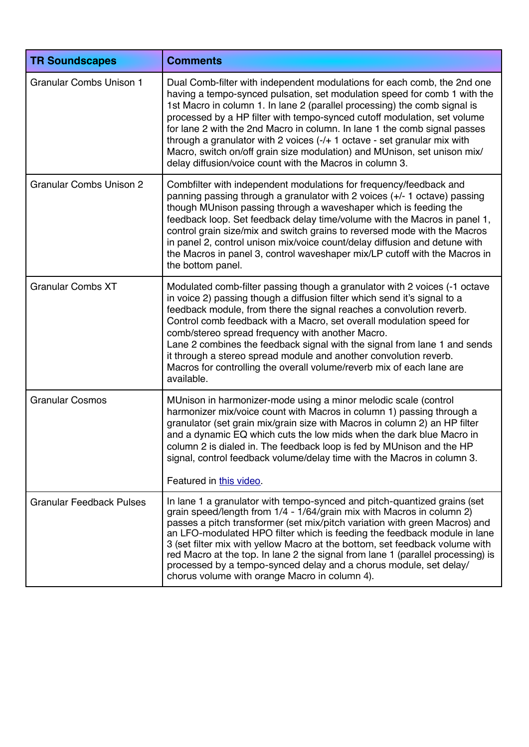| <b>TR Soundscapes</b>           | <b>Comments</b>                                                                                                                                                                                                                                                                                                                                                                                                                                                                                                                                                                                                 |
|---------------------------------|-----------------------------------------------------------------------------------------------------------------------------------------------------------------------------------------------------------------------------------------------------------------------------------------------------------------------------------------------------------------------------------------------------------------------------------------------------------------------------------------------------------------------------------------------------------------------------------------------------------------|
| <b>Granular Combs Unison 1</b>  | Dual Comb-filter with independent modulations for each comb, the 2nd one<br>having a tempo-synced pulsation, set modulation speed for comb 1 with the<br>1st Macro in column 1. In lane 2 (parallel processing) the comb signal is<br>processed by a HP filter with tempo-synced cutoff modulation, set volume<br>for lane 2 with the 2nd Macro in column. In lane 1 the comb signal passes<br>through a granulator with 2 voices (-/+ 1 octave - set granular mix with<br>Macro, switch on/off grain size modulation) and MUnison, set unison mix/<br>delay diffusion/voice count with the Macros in column 3. |
| <b>Granular Combs Unison 2</b>  | Combfilter with independent modulations for frequency/feedback and<br>panning passing through a granulator with 2 voices (+/- 1 octave) passing<br>though MUnison passing through a waveshaper which is feeding the<br>feedback loop. Set feedback delay time/volume with the Macros in panel 1,<br>control grain size/mix and switch grains to reversed mode with the Macros<br>in panel 2, control unison mix/voice count/delay diffusion and detune with<br>the Macros in panel 3, control waveshaper mix/LP cutoff with the Macros in<br>the bottom panel.                                                  |
| <b>Granular Combs XT</b>        | Modulated comb-filter passing though a granulator with 2 voices (-1 octave<br>in voice 2) passing though a diffusion filter which send it's signal to a<br>feedback module, from there the signal reaches a convolution reverb.<br>Control comb feedback with a Macro, set overall modulation speed for<br>comb/stereo spread frequency with another Macro.<br>Lane 2 combines the feedback signal with the signal from lane 1 and sends<br>it through a stereo spread module and another convolution reverb.<br>Macros for controlling the overall volume/reverb mix of each lane are<br>available.            |
| <b>Granular Cosmos</b>          | MUnison in harmonizer-mode using a minor melodic scale (control<br>harmonizer mix/voice count with Macros in column 1) passing through a<br>granulator (set grain mix/grain size with Macros in column 2) an HP filter<br>and a dynamic EQ which cuts the low mids when the dark blue Macro in<br>column 2 is dialed in. The feedback loop is fed by MUnison and the HP<br>signal, control feedback volume/delay time with the Macros in column 3.<br>Featured in this video.                                                                                                                                   |
| <b>Granular Feedback Pulses</b> | In lane 1 a granulator with tempo-synced and pitch-quantized grains (set<br>grain speed/length from 1/4 - 1/64/grain mix with Macros in column 2)<br>passes a pitch transformer (set mix/pitch variation with green Macros) and<br>an LFO-modulated HPO filter which is feeding the feedback module in lane<br>3 (set filter mix with yellow Macro at the bottom, set feedback volume with<br>red Macro at the top. In lane 2 the signal from lane 1 (parallel processing) is<br>processed by a tempo-synced delay and a chorus module, set delay/<br>chorus volume with orange Macro in column 4).             |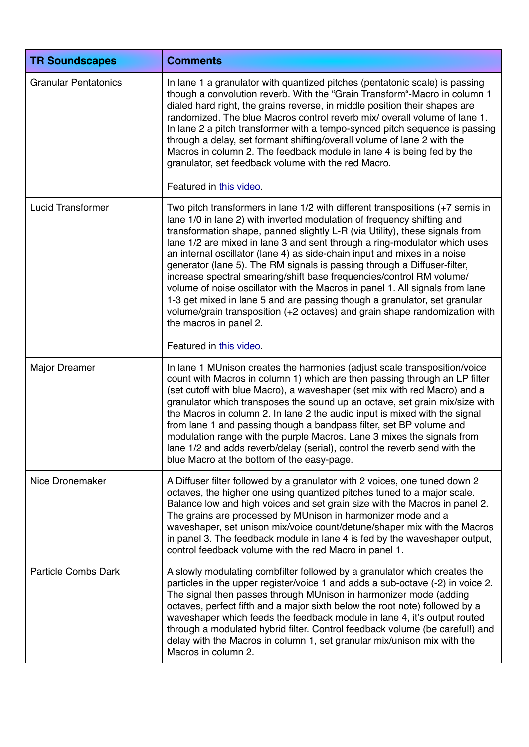| <b>TR Soundscapes</b>       | <b>Comments</b>                                                                                                                                                                                                                                                                                                                                                                                                                                                                                                                                                                                                                                                                                                                                                                                                          |
|-----------------------------|--------------------------------------------------------------------------------------------------------------------------------------------------------------------------------------------------------------------------------------------------------------------------------------------------------------------------------------------------------------------------------------------------------------------------------------------------------------------------------------------------------------------------------------------------------------------------------------------------------------------------------------------------------------------------------------------------------------------------------------------------------------------------------------------------------------------------|
| <b>Granular Pentatonics</b> | In lane 1 a granulator with quantized pitches (pentatonic scale) is passing<br>though a convolution reverb. With the "Grain Transform"-Macro in column 1<br>dialed hard right, the grains reverse, in middle position their shapes are<br>randomized. The blue Macros control reverb mix/ overall volume of lane 1.<br>In lane 2 a pitch transformer with a tempo-synced pitch sequence is passing<br>through a delay, set formant shifting/overall volume of lane 2 with the<br>Macros in column 2. The feedback module in lane 4 is being fed by the<br>granulator, set feedback volume with the red Macro.                                                                                                                                                                                                            |
|                             | Featured in this video.                                                                                                                                                                                                                                                                                                                                                                                                                                                                                                                                                                                                                                                                                                                                                                                                  |
| <b>Lucid Transformer</b>    | Two pitch transformers in lane 1/2 with different transpositions (+7 semis in<br>lane 1/0 in lane 2) with inverted modulation of frequency shifting and<br>transformation shape, panned slightly L-R (via Utility), these signals from<br>lane 1/2 are mixed in lane 3 and sent through a ring-modulator which uses<br>an internal oscillator (lane 4) as side-chain input and mixes in a noise<br>generator (lane 5). The RM signals is passing through a Diffuser-filter,<br>increase spectral smearing/shift base frequencies/control RM volume/<br>volume of noise oscillator with the Macros in panel 1. All signals from lane<br>1-3 get mixed in lane 5 and are passing though a granulator, set granular<br>volume/grain transposition (+2 octaves) and grain shape randomization with<br>the macros in panel 2. |
|                             | Featured in this video.                                                                                                                                                                                                                                                                                                                                                                                                                                                                                                                                                                                                                                                                                                                                                                                                  |
| <b>Major Dreamer</b>        | In lane 1 MUnison creates the harmonies (adjust scale transposition/voice<br>count with Macros in column 1) which are then passing through an LP filter<br>(set cutoff with blue Macro), a waveshaper (set mix with red Macro) and a<br>granulator which transposes the sound up an octave, set grain mix/size with<br>the Macros in column 2. In lane 2 the audio input is mixed with the signal<br>from lane 1 and passing though a bandpass filter, set BP volume and<br>modulation range with the purple Macros. Lane 3 mixes the signals from<br>lane 1/2 and adds reverb/delay (serial), control the reverb send with the<br>blue Macro at the bottom of the easy-page.                                                                                                                                            |
| Nice Dronemaker             | A Diffuser filter followed by a granulator with 2 voices, one tuned down 2<br>octaves, the higher one using quantized pitches tuned to a major scale.<br>Balance low and high voices and set grain size with the Macros in panel 2.<br>The grains are processed by MUnison in harmonizer mode and a<br>waveshaper, set unison mix/voice count/detune/shaper mix with the Macros<br>in panel 3. The feedback module in lane 4 is fed by the waveshaper output,<br>control feedback volume with the red Macro in panel 1.                                                                                                                                                                                                                                                                                                  |
| <b>Particle Combs Dark</b>  | A slowly modulating combfilter followed by a granulator which creates the<br>particles in the upper register/voice 1 and adds a sub-octave (-2) in voice 2.<br>The signal then passes through MUnison in harmonizer mode (adding<br>octaves, perfect fifth and a major sixth below the root note) followed by a<br>waveshaper which feeds the feedback module in lane 4, it's output routed<br>through a modulated hybrid filter. Control feedback volume (be careful!) and<br>delay with the Macros in column 1, set granular mix/unison mix with the<br>Macros in column 2.                                                                                                                                                                                                                                            |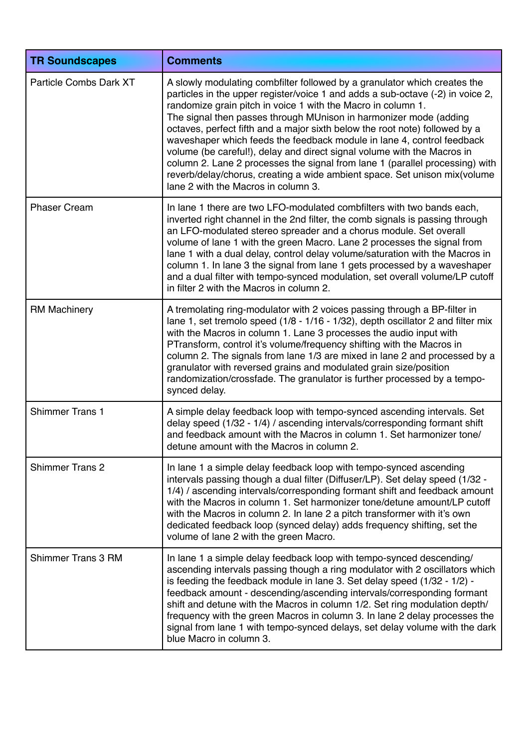| <b>TR Soundscapes</b>     | <b>Comments</b>                                                                                                                                                                                                                                                                                                                                                                                                                                                                                                                                                                                                                                                                                                                          |
|---------------------------|------------------------------------------------------------------------------------------------------------------------------------------------------------------------------------------------------------------------------------------------------------------------------------------------------------------------------------------------------------------------------------------------------------------------------------------------------------------------------------------------------------------------------------------------------------------------------------------------------------------------------------------------------------------------------------------------------------------------------------------|
| Particle Combs Dark XT    | A slowly modulating combfilter followed by a granulator which creates the<br>particles in the upper register/voice 1 and adds a sub-octave (-2) in voice 2,<br>randomize grain pitch in voice 1 with the Macro in column 1.<br>The signal then passes through MUnison in harmonizer mode (adding<br>octaves, perfect fifth and a major sixth below the root note) followed by a<br>waveshaper which feeds the feedback module in lane 4, control feedback<br>volume (be careful!), delay and direct signal volume with the Macros in<br>column 2. Lane 2 processes the signal from lane 1 (parallel processing) with<br>reverb/delay/chorus, creating a wide ambient space. Set unison mix(volume<br>lane 2 with the Macros in column 3. |
| <b>Phaser Cream</b>       | In lane 1 there are two LFO-modulated combiliters with two bands each,<br>inverted right channel in the 2nd filter, the comb signals is passing through<br>an LFO-modulated stereo spreader and a chorus module. Set overall<br>volume of lane 1 with the green Macro. Lane 2 processes the signal from<br>lane 1 with a dual delay, control delay volume/saturation with the Macros in<br>column 1. In lane 3 the signal from lane 1 gets processed by a waveshaper<br>and a dual filter with tempo-synced modulation, set overall volume/LP cutoff<br>in filter 2 with the Macros in column 2.                                                                                                                                         |
| <b>RM Machinery</b>       | A tremolating ring-modulator with 2 voices passing through a BP-filter in<br>lane 1, set tremolo speed (1/8 - 1/16 - 1/32), depth oscillator 2 and filter mix<br>with the Macros in column 1. Lane 3 processes the audio input with<br>PTransform, control it's volume/frequency shifting with the Macros in<br>column 2. The signals from lane 1/3 are mixed in lane 2 and processed by a<br>granulator with reversed grains and modulated grain size/position<br>randomization/crossfade. The granulator is further processed by a tempo-<br>synced delay.                                                                                                                                                                             |
| <b>Shimmer Trans 1</b>    | A simple delay feedback loop with tempo-synced ascending intervals. Set<br>delay speed (1/32 - 1/4) / ascending intervals/corresponding formant shift<br>and feedback amount with the Macros in column 1. Set harmonizer tone/<br>detune amount with the Macros in column 2.                                                                                                                                                                                                                                                                                                                                                                                                                                                             |
| <b>Shimmer Trans 2</b>    | In lane 1 a simple delay feedback loop with tempo-synced ascending<br>intervals passing though a dual filter (Diffuser/LP). Set delay speed (1/32 -<br>1/4) / ascending intervals/corresponding formant shift and feedback amount<br>with the Macros in column 1. Set harmonizer tone/detune amount/LP cutoff<br>with the Macros in column 2. In lane 2 a pitch transformer with it's own<br>dedicated feedback loop (synced delay) adds frequency shifting, set the<br>volume of lane 2 with the green Macro.                                                                                                                                                                                                                           |
| <b>Shimmer Trans 3 RM</b> | In lane 1 a simple delay feedback loop with tempo-synced descending/<br>ascending intervals passing though a ring modulator with 2 oscillators which<br>is feeding the feedback module in lane 3. Set delay speed (1/32 - 1/2) -<br>feedback amount - descending/ascending intervals/corresponding formant<br>shift and detune with the Macros in column 1/2. Set ring modulation depth/<br>frequency with the green Macros in column 3. In lane 2 delay processes the<br>signal from lane 1 with tempo-synced delays, set delay volume with the dark<br>blue Macro in column 3.                                                                                                                                                         |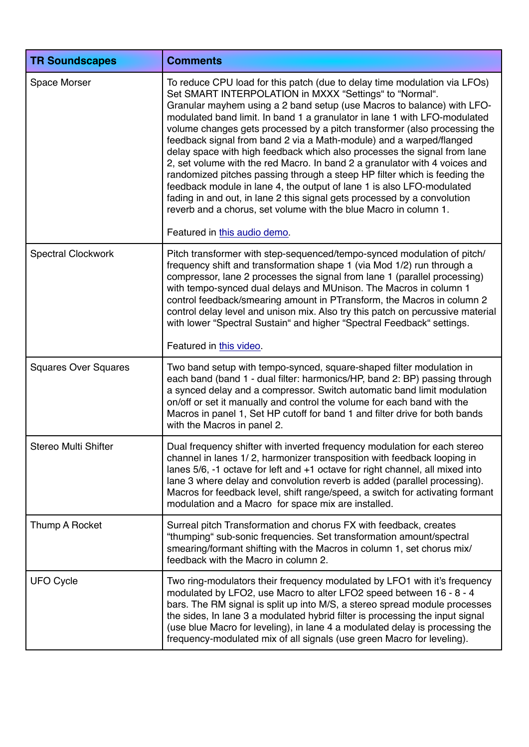| <b>TR Soundscapes</b>       | <b>Comments</b>                                                                                                                                                                                                                                                                                                                                                                                                                                                                                                                                                                                                                                                                                                                                                                                                                                                                                                                                 |
|-----------------------------|-------------------------------------------------------------------------------------------------------------------------------------------------------------------------------------------------------------------------------------------------------------------------------------------------------------------------------------------------------------------------------------------------------------------------------------------------------------------------------------------------------------------------------------------------------------------------------------------------------------------------------------------------------------------------------------------------------------------------------------------------------------------------------------------------------------------------------------------------------------------------------------------------------------------------------------------------|
| Space Morser                | To reduce CPU load for this patch (due to delay time modulation via LFOs)<br>Set SMART INTERPOLATION in MXXX "Settings" to "Normal".<br>Granular mayhem using a 2 band setup (use Macros to balance) with LFO-<br>modulated band limit. In band 1 a granulator in lane 1 with LFO-modulated<br>volume changes gets processed by a pitch transformer (also processing the<br>feedback signal from band 2 via a Math-module) and a warped/flanged<br>delay space with high feedback which also processes the signal from lane<br>2, set volume with the red Macro. In band 2 a granulator with 4 voices and<br>randomized pitches passing through a steep HP filter which is feeding the<br>feedback module in lane 4, the output of lane 1 is also LFO-modulated<br>fading in and out, in lane 2 this signal gets processed by a convolution<br>reverb and a chorus, set volume with the blue Macro in column 1.<br>Featured in this audio demo. |
| <b>Spectral Clockwork</b>   | Pitch transformer with step-sequenced/tempo-synced modulation of pitch/                                                                                                                                                                                                                                                                                                                                                                                                                                                                                                                                                                                                                                                                                                                                                                                                                                                                         |
|                             | frequency shift and transformation shape 1 (via Mod 1/2) run through a<br>compressor, lane 2 processes the signal from lane 1 (parallel processing)<br>with tempo-synced dual delays and MUnison. The Macros in column 1<br>control feedback/smearing amount in PTransform, the Macros in column 2<br>control delay level and unison mix. Also try this patch on percussive material<br>with lower "Spectral Sustain" and higher "Spectral Feedback" settings.                                                                                                                                                                                                                                                                                                                                                                                                                                                                                  |
|                             | Featured in this video.                                                                                                                                                                                                                                                                                                                                                                                                                                                                                                                                                                                                                                                                                                                                                                                                                                                                                                                         |
| <b>Squares Over Squares</b> | Two band setup with tempo-synced, square-shaped filter modulation in<br>each band (band 1 - dual filter: harmonics/HP, band 2: BP) passing through<br>a synced delay and a compressor. Switch automatic band limit modulation<br>on/off or set it manually and control the volume for each band with the<br>Macros in panel 1, Set HP cutoff for band 1 and filter drive for both bands<br>with the Macros in panel 2.                                                                                                                                                                                                                                                                                                                                                                                                                                                                                                                          |
| Stereo Multi Shifter        | Dual frequency shifter with inverted frequency modulation for each stereo<br>channel in lanes 1/2, harmonizer transposition with feedback looping in<br>lanes 5/6, -1 octave for left and +1 octave for right channel, all mixed into<br>lane 3 where delay and convolution reverb is added (parallel processing).<br>Macros for feedback level, shift range/speed, a switch for activating formant<br>modulation and a Macro for space mix are installed.                                                                                                                                                                                                                                                                                                                                                                                                                                                                                      |
| Thump A Rocket              | Surreal pitch Transformation and chorus FX with feedback, creates<br>"thumping" sub-sonic frequencies. Set transformation amount/spectral<br>smearing/formant shifting with the Macros in column 1, set chorus mix/<br>feedback with the Macro in column 2.                                                                                                                                                                                                                                                                                                                                                                                                                                                                                                                                                                                                                                                                                     |
| <b>UFO Cycle</b>            | Two ring-modulators their frequency modulated by LFO1 with it's frequency<br>modulated by LFO2, use Macro to alter LFO2 speed between 16 - 8 - 4<br>bars. The RM signal is split up into M/S, a stereo spread module processes<br>the sides, In lane 3 a modulated hybrid filter is processing the input signal<br>(use blue Macro for leveling), in lane 4 a modulated delay is processing the<br>frequency-modulated mix of all signals (use green Macro for leveling).                                                                                                                                                                                                                                                                                                                                                                                                                                                                       |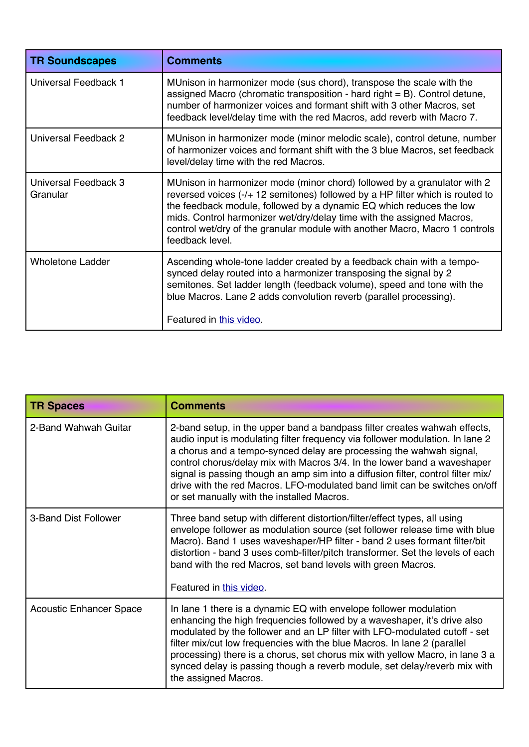| <b>TR Soundscapes</b>            | <b>Comments</b>                                                                                                                                                                                                                                                                                                                                                                                             |
|----------------------------------|-------------------------------------------------------------------------------------------------------------------------------------------------------------------------------------------------------------------------------------------------------------------------------------------------------------------------------------------------------------------------------------------------------------|
| Universal Feedback 1             | MUnison in harmonizer mode (sus chord), transpose the scale with the<br>assigned Macro (chromatic transposition - hard right $=$ B). Control detune,<br>number of harmonizer voices and formant shift with 3 other Macros, set<br>feedback level/delay time with the red Macros, add reverb with Macro 7.                                                                                                   |
| Universal Feedback 2             | MUnison in harmonizer mode (minor melodic scale), control detune, number<br>of harmonizer voices and formant shift with the 3 blue Macros, set feedback<br>level/delay time with the red Macros.                                                                                                                                                                                                            |
| Universal Feedback 3<br>Granular | MUnison in harmonizer mode (minor chord) followed by a granulator with 2<br>reversed voices (-/+ 12 semitones) followed by a HP filter which is routed to<br>the feedback module, followed by a dynamic EQ which reduces the low<br>mids. Control harmonizer wet/dry/delay time with the assigned Macros,<br>control wet/dry of the granular module with another Macro, Macro 1 controls<br>feedback level. |
| <b>Wholetone Ladder</b>          | Ascending whole-tone ladder created by a feedback chain with a tempo-<br>synced delay routed into a harmonizer transposing the signal by 2<br>semitones. Set ladder length (feedback volume), speed and tone with the<br>blue Macros. Lane 2 adds convolution reverb (parallel processing).<br>Featured in this video.                                                                                      |

| <b>TR Spaces</b>               | <b>Comments</b>                                                                                                                                                                                                                                                                                                                                                                                                                                                                                                               |
|--------------------------------|-------------------------------------------------------------------------------------------------------------------------------------------------------------------------------------------------------------------------------------------------------------------------------------------------------------------------------------------------------------------------------------------------------------------------------------------------------------------------------------------------------------------------------|
| 2-Band Wahwah Guitar           | 2-band setup, in the upper band a bandpass filter creates wahwah effects,<br>audio input is modulating filter frequency via follower modulation. In lane 2<br>a chorus and a tempo-synced delay are processing the wahwah signal,<br>control chorus/delay mix with Macros 3/4. In the lower band a waveshaper<br>signal is passing though an amp sim into a diffusion filter, control filter mix/<br>drive with the red Macros. LFO-modulated band limit can be switches on/off<br>or set manually with the installed Macros. |
| 3-Band Dist Follower           | Three band setup with different distortion/filter/effect types, all using<br>envelope follower as modulation source (set follower release time with blue<br>Macro). Band 1 uses waveshaper/HP filter - band 2 uses formant filter/bit<br>distortion - band 3 uses comb-filter/pitch transformer. Set the levels of each<br>band with the red Macros, set band levels with green Macros.<br>Featured in this video.                                                                                                            |
| <b>Acoustic Enhancer Space</b> | In lane 1 there is a dynamic EQ with envelope follower modulation<br>enhancing the high frequencies followed by a waveshaper, it's drive also<br>modulated by the follower and an LP filter with LFO-modulated cutoff - set<br>filter mix/cut low frequencies with the blue Macros. In lane 2 (parallel<br>processing) there is a chorus, set chorus mix with yellow Macro, in lane 3 a<br>synced delay is passing though a reverb module, set delay/reverb mix with<br>the assigned Macros.                                  |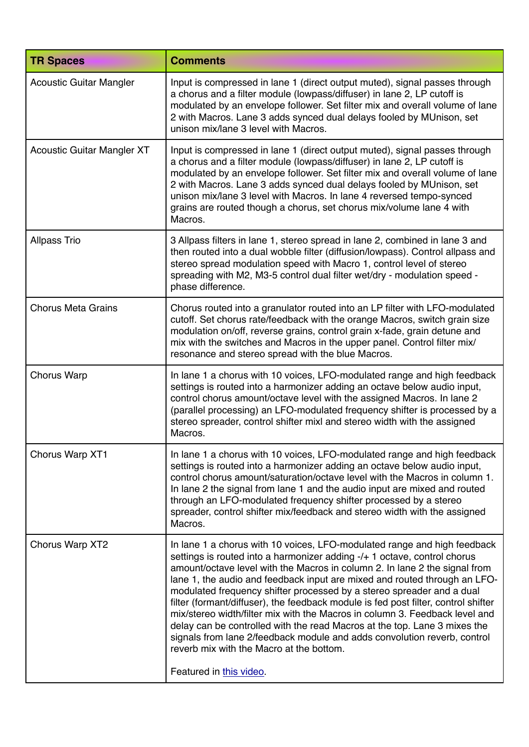| <b>TR Spaces</b>                  | <b>Comments</b>                                                                                                                                                                                                                                                                                                                                                                                                                                                                                                                                                                                                                                                                                                                                                                               |
|-----------------------------------|-----------------------------------------------------------------------------------------------------------------------------------------------------------------------------------------------------------------------------------------------------------------------------------------------------------------------------------------------------------------------------------------------------------------------------------------------------------------------------------------------------------------------------------------------------------------------------------------------------------------------------------------------------------------------------------------------------------------------------------------------------------------------------------------------|
| <b>Acoustic Guitar Mangler</b>    | Input is compressed in lane 1 (direct output muted), signal passes through<br>a chorus and a filter module (lowpass/diffuser) in lane 2, LP cutoff is<br>modulated by an envelope follower. Set filter mix and overall volume of lane<br>2 with Macros. Lane 3 adds synced dual delays fooled by MUnison, set<br>unison mix/lane 3 level with Macros.                                                                                                                                                                                                                                                                                                                                                                                                                                         |
| <b>Acoustic Guitar Mangler XT</b> | Input is compressed in lane 1 (direct output muted), signal passes through<br>a chorus and a filter module (lowpass/diffuser) in lane 2, LP cutoff is<br>modulated by an envelope follower. Set filter mix and overall volume of lane<br>2 with Macros. Lane 3 adds synced dual delays fooled by MUnison, set<br>unison mix/lane 3 level with Macros. In lane 4 reversed tempo-synced<br>grains are routed though a chorus, set chorus mix/volume lane 4 with<br>Macros.                                                                                                                                                                                                                                                                                                                      |
| <b>Allpass Trio</b>               | 3 Allpass filters in lane 1, stereo spread in lane 2, combined in lane 3 and<br>then routed into a dual wobble filter (diffusion/lowpass). Control allpass and<br>stereo spread modulation speed with Macro 1, control level of stereo<br>spreading with M2, M3-5 control dual filter wet/dry - modulation speed -<br>phase difference.                                                                                                                                                                                                                                                                                                                                                                                                                                                       |
| <b>Chorus Meta Grains</b>         | Chorus routed into a granulator routed into an LP filter with LFO-modulated<br>cutoff. Set chorus rate/feedback with the orange Macros, switch grain size<br>modulation on/off, reverse grains, control grain x-fade, grain detune and<br>mix with the switches and Macros in the upper panel. Control filter mix/<br>resonance and stereo spread with the blue Macros.                                                                                                                                                                                                                                                                                                                                                                                                                       |
| <b>Chorus Warp</b>                | In lane 1 a chorus with 10 voices, LFO-modulated range and high feedback<br>settings is routed into a harmonizer adding an octave below audio input,<br>control chorus amount/octave level with the assigned Macros. In lane 2<br>(parallel processing) an LFO-modulated frequency shifter is processed by a<br>stereo spreader, control shifter mixl and stereo width with the assigned<br>Macros.                                                                                                                                                                                                                                                                                                                                                                                           |
| Chorus Warp XT1                   | In lane 1 a chorus with 10 voices, LFO-modulated range and high feedback<br>settings is routed into a harmonizer adding an octave below audio input,<br>control chorus amount/saturation/octave level with the Macros in column 1.<br>In lane 2 the signal from lane 1 and the audio input are mixed and routed<br>through an LFO-modulated frequency shifter processed by a stereo<br>spreader, control shifter mix/feedback and stereo width with the assigned<br>Macros.                                                                                                                                                                                                                                                                                                                   |
| Chorus Warp XT2                   | In lane 1 a chorus with 10 voices, LFO-modulated range and high feedback<br>settings is routed into a harmonizer adding -/+ 1 octave, control chorus<br>amount/octave level with the Macros in column 2. In lane 2 the signal from<br>lane 1, the audio and feedback input are mixed and routed through an LFO-<br>modulated frequency shifter processed by a stereo spreader and a dual<br>filter (formant/diffuser), the feedback module is fed post filter, control shifter<br>mix/stereo width/filter mix with the Macros in column 3. Feedback level and<br>delay can be controlled with the read Macros at the top. Lane 3 mixes the<br>signals from lane 2/feedback module and adds convolution reverb, control<br>reverb mix with the Macro at the bottom.<br>Featured in this video. |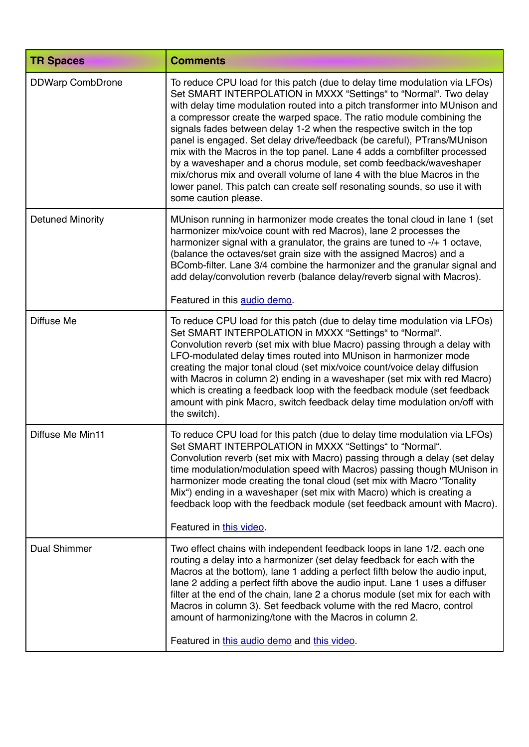| <b>TR Spaces</b>        | <b>Comments</b>                                                                                                                                                                                                                                                                                                                                                                                                                                                                                                                                                                                                                                                                                                                                                                            |
|-------------------------|--------------------------------------------------------------------------------------------------------------------------------------------------------------------------------------------------------------------------------------------------------------------------------------------------------------------------------------------------------------------------------------------------------------------------------------------------------------------------------------------------------------------------------------------------------------------------------------------------------------------------------------------------------------------------------------------------------------------------------------------------------------------------------------------|
| <b>DDWarp CombDrone</b> | To reduce CPU load for this patch (due to delay time modulation via LFOs)<br>Set SMART INTERPOLATION in MXXX "Settings" to "Normal". Two delay<br>with delay time modulation routed into a pitch transformer into MUnison and<br>a compressor create the warped space. The ratio module combining the<br>signals fades between delay 1-2 when the respective switch in the top<br>panel is engaged. Set delay drive/feedback (be careful), PTrans/MUnison<br>mix with the Macros in the top panel. Lane 4 adds a combfilter processed<br>by a waveshaper and a chorus module, set comb feedback/waveshaper<br>mix/chorus mix and overall volume of lane 4 with the blue Macros in the<br>lower panel. This patch can create self resonating sounds, so use it with<br>some caution please. |
| <b>Detuned Minority</b> | MUnison running in harmonizer mode creates the tonal cloud in lane 1 (set<br>harmonizer mix/voice count with red Macros), lane 2 processes the<br>harmonizer signal with a granulator, the grains are tuned to -/+ 1 octave,<br>(balance the octaves/set grain size with the assigned Macros) and a<br>BComb-filter. Lane 3/4 combine the harmonizer and the granular signal and<br>add delay/convolution reverb (balance delay/reverb signal with Macros).<br>Featured in this audio demo.                                                                                                                                                                                                                                                                                                |
| Diffuse Me              | To reduce CPU load for this patch (due to delay time modulation via LFOs)<br>Set SMART INTERPOLATION in MXXX "Settings" to "Normal".<br>Convolution reverb (set mix with blue Macro) passing through a delay with<br>LFO-modulated delay times routed into MUnison in harmonizer mode<br>creating the major tonal cloud (set mix/voice count/voice delay diffusion<br>with Macros in column 2) ending in a waveshaper (set mix with red Macro)<br>which is creating a feedback loop with the feedback module (set feedback<br>amount with pink Macro, switch feedback delay time modulation on/off with<br>the switch).                                                                                                                                                                    |
| Diffuse Me Min11        | To reduce CPU load for this patch (due to delay time modulation via LFOs)<br>Set SMART INTERPOLATION in MXXX "Settings" to "Normal".<br>Convolution reverb (set mix with Macro) passing through a delay (set delay<br>time modulation/modulation speed with Macros) passing though MUnison in<br>harmonizer mode creating the tonal cloud (set mix with Macro "Tonality<br>Mix") ending in a waveshaper (set mix with Macro) which is creating a<br>feedback loop with the feedback module (set feedback amount with Macro).<br>Featured in this video.                                                                                                                                                                                                                                    |
| <b>Dual Shimmer</b>     | Two effect chains with independent feedback loops in lane 1/2, each one<br>routing a delay into a harmonizer (set delay feedback for each with the<br>Macros at the bottom), lane 1 adding a perfect fifth below the audio input,<br>lane 2 adding a perfect fifth above the audio input. Lane 1 uses a diffuser<br>filter at the end of the chain, lane 2 a chorus module (set mix for each with<br>Macros in column 3). Set feedback volume with the red Macro, control<br>amount of harmonizing/tone with the Macros in column 2.<br>Featured in this audio demo and this video.                                                                                                                                                                                                        |
|                         |                                                                                                                                                                                                                                                                                                                                                                                                                                                                                                                                                                                                                                                                                                                                                                                            |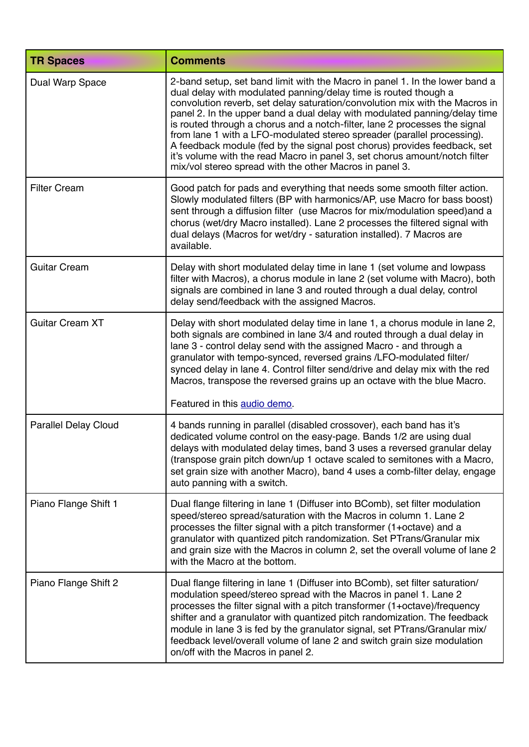| <b>TR Spaces</b>            | <b>Comments</b>                                                                                                                                                                                                                                                                                                                                                                                                                                                                                                                                                                                                                                                                          |
|-----------------------------|------------------------------------------------------------------------------------------------------------------------------------------------------------------------------------------------------------------------------------------------------------------------------------------------------------------------------------------------------------------------------------------------------------------------------------------------------------------------------------------------------------------------------------------------------------------------------------------------------------------------------------------------------------------------------------------|
| Dual Warp Space             | 2-band setup, set band limit with the Macro in panel 1. In the lower band a<br>dual delay with modulated panning/delay time is routed though a<br>convolution reverb, set delay saturation/convolution mix with the Macros in<br>panel 2. In the upper band a dual delay with modulated panning/delay time<br>is routed through a chorus and a notch-filter, lane 2 processes the signal<br>from lane 1 with a LFO-modulated stereo spreader (parallel processing).<br>A feedback module (fed by the signal post chorus) provides feedback, set<br>it's volume with the read Macro in panel 3, set chorus amount/notch filter<br>mix/vol stereo spread with the other Macros in panel 3. |
| <b>Filter Cream</b>         | Good patch for pads and everything that needs some smooth filter action.<br>Slowly modulated filters (BP with harmonics/AP, use Macro for bass boost)<br>sent through a diffusion filter (use Macros for mix/modulation speed) and a<br>chorus (wet/dry Macro installed). Lane 2 processes the filtered signal with<br>dual delays (Macros for wet/dry - saturation installed). 7 Macros are<br>available.                                                                                                                                                                                                                                                                               |
| <b>Guitar Cream</b>         | Delay with short modulated delay time in lane 1 (set volume and lowpass<br>filter with Macros), a chorus module in lane 2 (set volume with Macro), both<br>signals are combined in lane 3 and routed through a dual delay, control<br>delay send/feedback with the assigned Macros.                                                                                                                                                                                                                                                                                                                                                                                                      |
| <b>Guitar Cream XT</b>      | Delay with short modulated delay time in lane 1, a chorus module in lane 2,<br>both signals are combined in lane 3/4 and routed through a dual delay in<br>lane 3 - control delay send with the assigned Macro - and through a<br>granulator with tempo-synced, reversed grains /LFO-modulated filter/<br>synced delay in lane 4. Control filter send/drive and delay mix with the red<br>Macros, transpose the reversed grains up an octave with the blue Macro.<br>Featured in this audio demo.                                                                                                                                                                                        |
| <b>Parallel Delay Cloud</b> | 4 bands running in parallel (disabled crossover), each band has it's<br>dedicated volume control on the easy-page. Bands 1/2 are using dual<br>delays with modulated delay times, band 3 uses a reversed granular delay<br>(transpose grain pitch down/up 1 octave scaled to semitones with a Macro,<br>set grain size with another Macro), band 4 uses a comb-filter delay, engage<br>auto panning with a switch.                                                                                                                                                                                                                                                                       |
| Piano Flange Shift 1        | Dual flange filtering in lane 1 (Diffuser into BComb), set filter modulation<br>speed/stereo spread/saturation with the Macros in column 1. Lane 2<br>processes the filter signal with a pitch transformer (1+octave) and a<br>granulator with quantized pitch randomization. Set PTrans/Granular mix<br>and grain size with the Macros in column 2, set the overall volume of lane 2<br>with the Macro at the bottom.                                                                                                                                                                                                                                                                   |
| Piano Flange Shift 2        | Dual flange filtering in lane 1 (Diffuser into BComb), set filter saturation/<br>modulation speed/stereo spread with the Macros in panel 1. Lane 2<br>processes the filter signal with a pitch transformer (1+octave)/frequency<br>shifter and a granulator with quantized pitch randomization. The feedback<br>module in lane 3 is fed by the granulator signal, set PTrans/Granular mix/<br>feedback level/overall volume of lane 2 and switch grain size modulation<br>on/off with the Macros in panel 2.                                                                                                                                                                             |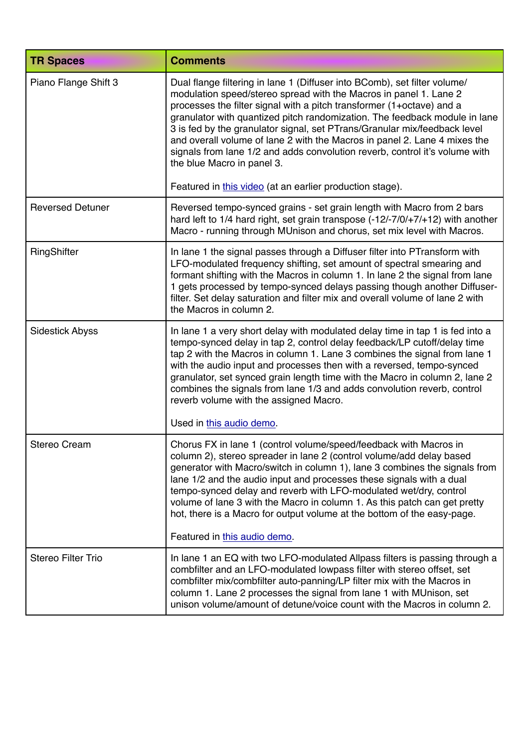| <b>TR Spaces</b>          | <b>Comments</b>                                                                                                                                                                                                                                                                                                                                                                                                                                                                                                                                                              |
|---------------------------|------------------------------------------------------------------------------------------------------------------------------------------------------------------------------------------------------------------------------------------------------------------------------------------------------------------------------------------------------------------------------------------------------------------------------------------------------------------------------------------------------------------------------------------------------------------------------|
| Piano Flange Shift 3      | Dual flange filtering in lane 1 (Diffuser into BComb), set filter volume/<br>modulation speed/stereo spread with the Macros in panel 1. Lane 2<br>processes the filter signal with a pitch transformer (1+octave) and a<br>granulator with quantized pitch randomization. The feedback module in lane<br>3 is fed by the granulator signal, set PTrans/Granular mix/feedback level<br>and overall volume of lane 2 with the Macros in panel 2. Lane 4 mixes the<br>signals from lane 1/2 and adds convolution reverb, control it's volume with<br>the blue Macro in panel 3. |
|                           | Featured in this video (at an earlier production stage).                                                                                                                                                                                                                                                                                                                                                                                                                                                                                                                     |
| <b>Reversed Detuner</b>   | Reversed tempo-synced grains - set grain length with Macro from 2 bars<br>hard left to 1/4 hard right, set grain transpose (-12/-7/0/+7/+12) with another<br>Macro - running through MUnison and chorus, set mix level with Macros.                                                                                                                                                                                                                                                                                                                                          |
| RingShifter               | In lane 1 the signal passes through a Diffuser filter into PTransform with<br>LFO-modulated frequency shifting, set amount of spectral smearing and<br>formant shifting with the Macros in column 1. In lane 2 the signal from lane<br>1 gets processed by tempo-synced delays passing though another Diffuser-<br>filter. Set delay saturation and filter mix and overall volume of lane 2 with<br>the Macros in column 2.                                                                                                                                                  |
| <b>Sidestick Abyss</b>    | In lane 1 a very short delay with modulated delay time in tap 1 is fed into a<br>tempo-synced delay in tap 2, control delay feedback/LP cutoff/delay time<br>tap 2 with the Macros in column 1. Lane 3 combines the signal from lane 1<br>with the audio input and processes then with a reversed, tempo-synced<br>granulator, set synced grain length time with the Macro in column 2, lane 2<br>combines the signals from lane 1/3 and adds convolution reverb, control<br>reverb volume with the assigned Macro.                                                          |
|                           | Used in this audio demo.                                                                                                                                                                                                                                                                                                                                                                                                                                                                                                                                                     |
| <b>Stereo Cream</b>       | Chorus FX in lane 1 (control volume/speed/feedback with Macros in<br>column 2), stereo spreader in lane 2 (control volume/add delay based<br>generator with Macro/switch in column 1), lane 3 combines the signals from<br>lane 1/2 and the audio input and processes these signals with a dual<br>tempo-synced delay and reverb with LFO-modulated wet/dry, control<br>volume of lane 3 with the Macro in column 1. As this patch can get pretty<br>hot, there is a Macro for output volume at the bottom of the easy-page.<br>Featured in this audio demo.                 |
| <b>Stereo Filter Trio</b> | In lane 1 an EQ with two LFO-modulated Allpass filters is passing through a                                                                                                                                                                                                                                                                                                                                                                                                                                                                                                  |
|                           | combfilter and an LFO-modulated lowpass filter with stereo offset, set<br>combfilter mix/combfilter auto-panning/LP filter mix with the Macros in<br>column 1. Lane 2 processes the signal from lane 1 with MUnison, set<br>unison volume/amount of detune/voice count with the Macros in column 2.                                                                                                                                                                                                                                                                          |